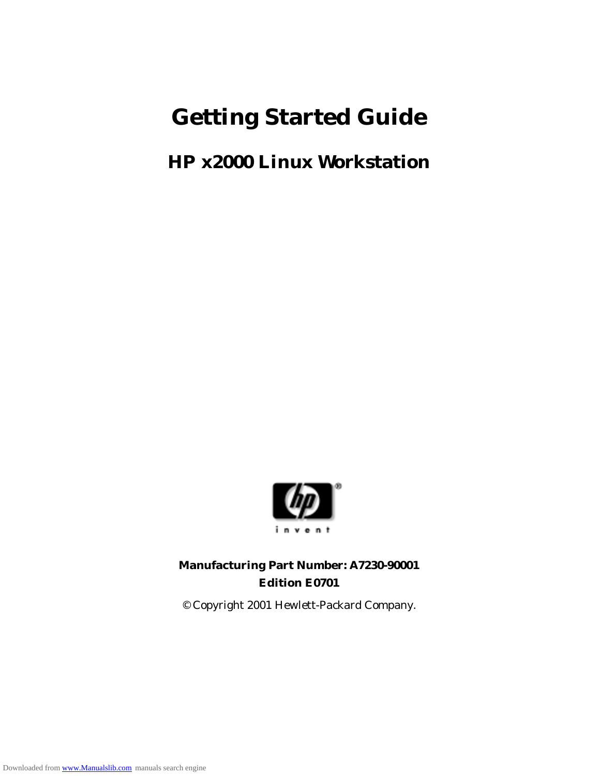# **Getting Started Guide**

## **HP x2000 Linux Workstation**



## **Manufacturing Part Number: A7230-90001 Edition E0701**

© Copyright 2001 Hewlett-Packard Company.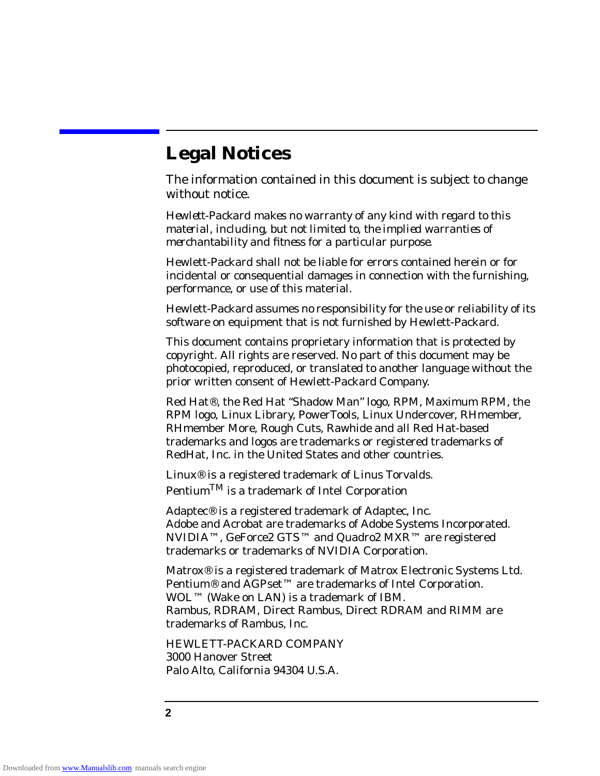## **Legal Notices**

The information contained in this document is subject to change without notice.

*Hewlett-Packard makes no warranty of any kind with regard to this material, including, but not limited to, the implied warranties of merchantability and fitness for a particular purpose.*

Hewlett-Packard shall not be liable for errors contained herein or for incidental or consequential damages in connection with the furnishing, performance, or use of this material.

Hewlett-Packard assumes no responsibility for the use or reliability of its software on equipment that is not furnished by Hewlett-Packard.

This document contains proprietary information that is protected by copyright. All rights are reserved. No part of this document may be photocopied, reproduced, or translated to another language without the prior written consent of Hewlett-Packard Company.

Red Hat®, the Red Hat "Shadow Man" logo, RPM, Maximum RPM, the RPM logo, Linux Library, PowerTools, Linux Undercover, RHmember, RHmember More, Rough Cuts, Rawhide and all Red Hat-based trademarks and logos are trademarks or registered trademarks of RedHat, Inc. in the United States and other countries.

Linux® is a registered trademark of Linus Torvalds.

Pentium<sup>TM</sup> is a trademark of Intel Corporation

Adaptec® is a registered trademark of Adaptec, Inc. Adobe and Acrobat are trademarks of Adobe Systems Incorporated. NVIDIA™, GeForce2 GTS™ and Quadro2 MXR™ are registered trademarks or trademarks of NVIDIA Corporation.

Matrox® is a registered trademark of Matrox Electronic Systems Ltd. Pentium<sup>®</sup> and AGPset<sup>™</sup> are trademarks of Intel Corporation. WOL™ (Wake on LAN) is a trademark of IBM. Rambus, RDRAM, Direct Rambus, Direct RDRAM and RIMM are trademarks of Rambus, Inc.

HEWLETT-PACKARD COMPANY 3000 Hanover Street Palo Alto, California 94304 U.S.A.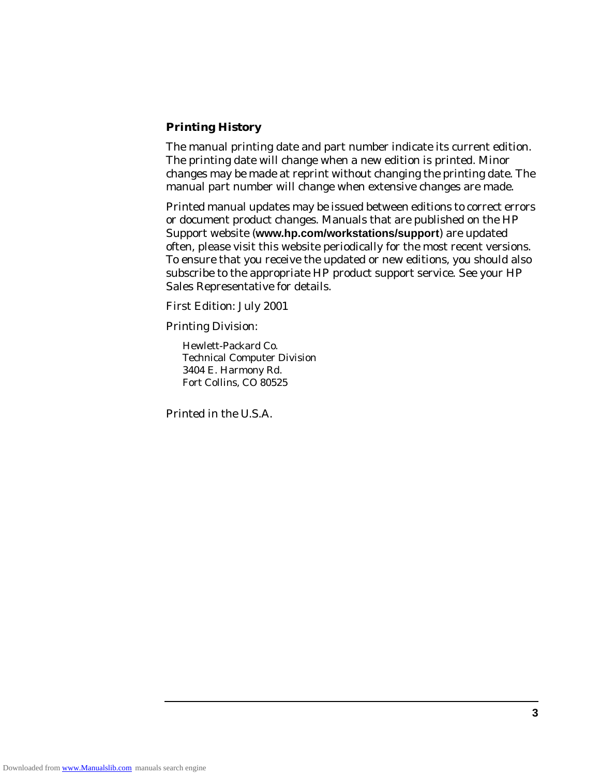#### **Printing History**

The manual printing date and part number indicate its current edition. The printing date will change when a new edition is printed. Minor changes may be made at reprint without changing the printing date. The manual part number will change when extensive changes are made.

Printed manual updates may be issued between editions to correct errors or document product changes. Manuals that are published on the HP Support website (**www.hp.com/workstations/support**) are updated often, please visit this website periodically for the most recent versions. To ensure that you receive the updated or new editions, you should also subscribe to the appropriate HP product support service. See your HP Sales Representative for details.

First Edition: July 2001

Printing Division:

Hewlett-Packard Co. Technical Computer Division 3404 E. Harmony Rd. Fort Collins, CO 80525

Printed in the U.S.A.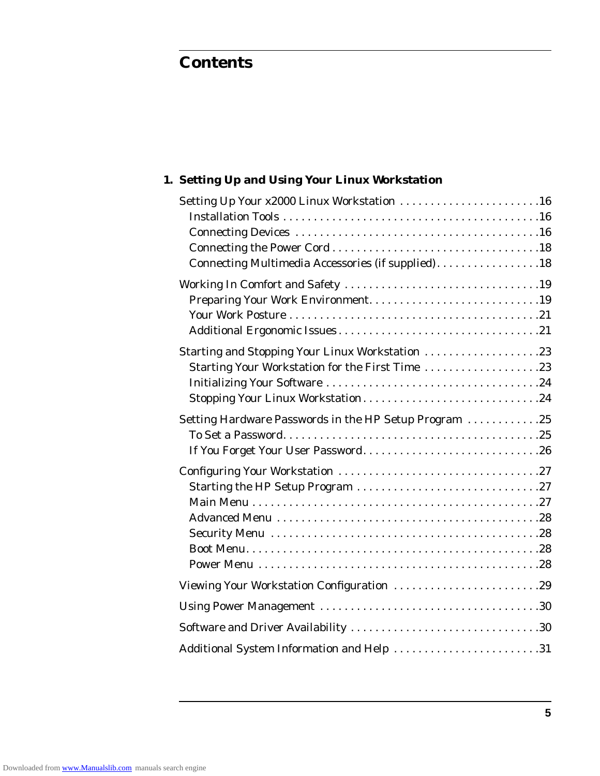## **1. Setting Up and Using Your Linux Workstation**

| Setting Up Your x2000 Linux Workstation 16            |  |
|-------------------------------------------------------|--|
|                                                       |  |
|                                                       |  |
|                                                       |  |
| Connecting Multimedia Accessories (if supplied)18     |  |
|                                                       |  |
|                                                       |  |
|                                                       |  |
|                                                       |  |
| Starting and Stopping Your Linux Workstation 23       |  |
| Starting Your Workstation for the First Time 23       |  |
|                                                       |  |
| Stopping Your Linux Workstation24                     |  |
| Setting Hardware Passwords in the HP Setup Program 25 |  |
|                                                       |  |
|                                                       |  |
|                                                       |  |
|                                                       |  |
|                                                       |  |
|                                                       |  |
|                                                       |  |
|                                                       |  |
|                                                       |  |
| Viewing Your Workstation Configuration 29             |  |
|                                                       |  |
|                                                       |  |
| Additional System Information and Help 31             |  |
|                                                       |  |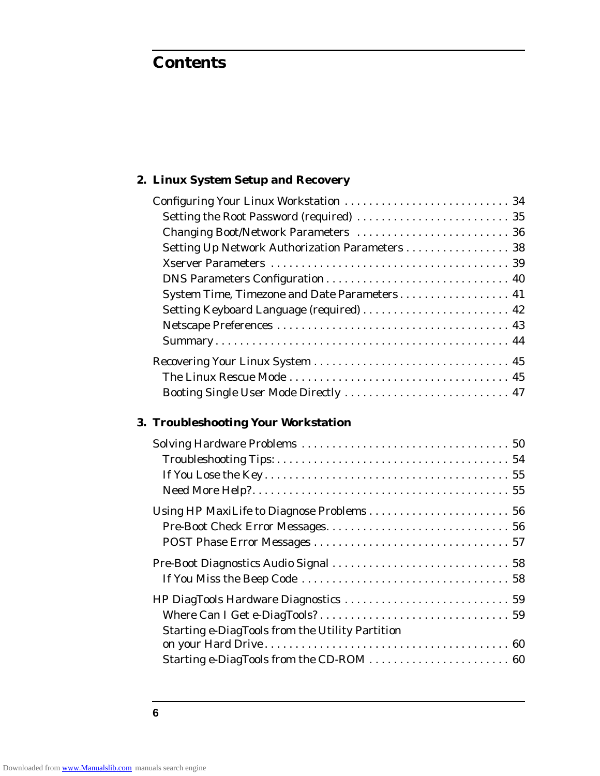## **2. Linux System Setup and Recovery**

| Changing Boot/Network Parameters  36           |  |
|------------------------------------------------|--|
| Setting Up Network Authorization Parameters 38 |  |
|                                                |  |
|                                                |  |
|                                                |  |
| Setting Keyboard Language (required)  42       |  |
|                                                |  |
|                                                |  |
|                                                |  |
|                                                |  |
| Booting Single User Mode Directly  47          |  |

## **3. Troubleshooting Your Workstation**

| HP DiagTools Hardware Diagnostics  59                  |  |
|--------------------------------------------------------|--|
|                                                        |  |
| <b>Starting e-DiagTools from the Utility Partition</b> |  |
|                                                        |  |
|                                                        |  |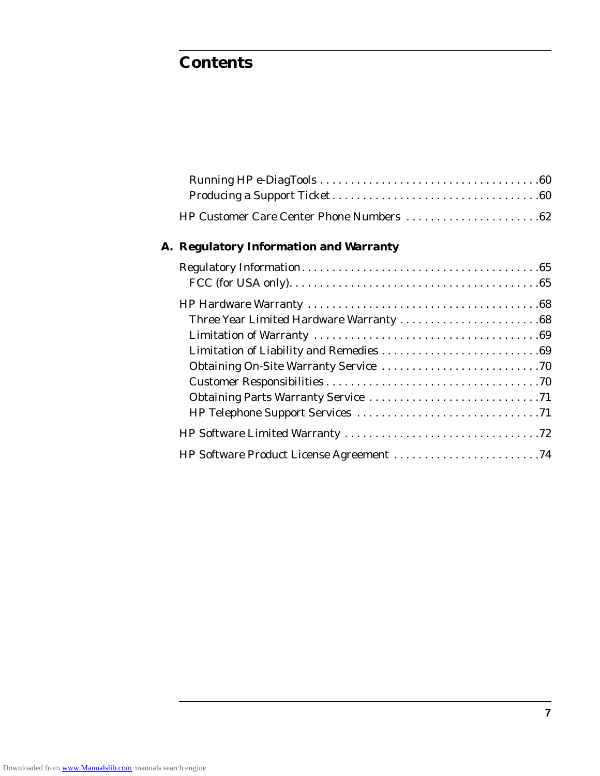| A. Regulatory Information and Warranty  |
|-----------------------------------------|
|                                         |
|                                         |
|                                         |
| Three Year Limited Hardware Warranty 68 |
|                                         |
|                                         |
|                                         |
|                                         |
|                                         |
|                                         |
|                                         |
|                                         |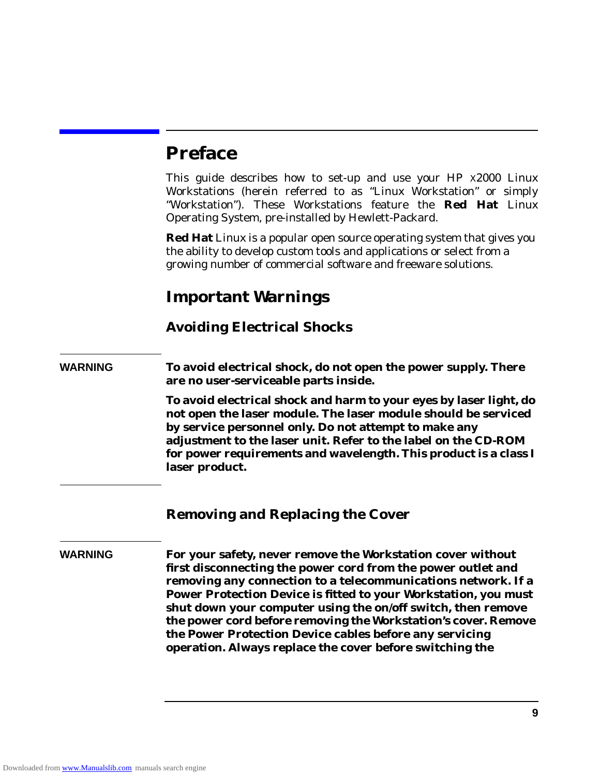## **Preface**

This guide describes how to set-up and use your HP X2000 Linux Workstations (herein referred to as "Linux Workstation" or simply "Workstation"). These Workstations feature the **Red Hat** Linux Operating System, pre-installed by Hewlett-Packard.

**Red Hat** Linux is a popular open source operating system that gives you the ability to develop custom tools and applications or select from a growing number of commercial software and freeware solutions.

## **Important Warnings**

## **Avoiding Electrical Shocks**

**WARNING To avoid electrical shock, do not open the power supply. There are no user-serviceable parts inside.**

> **To avoid electrical shock and harm to your eyes by laser light, do not open the laser module. The laser module should be serviced by service personnel only. Do not attempt to make any adjustment to the laser unit. Refer to the label on the CD-ROM for power requirements and wavelength. This product is a class I laser product.**

## **Removing and Replacing the Cover**

**WARNING For your safety, never remove the Workstation cover without first disconnecting the power cord from the power outlet and removing any connection to a telecommunications network. If a Power Protection Device is fitted to your Workstation, you must shut down your computer using the on/off switch, then remove the power cord before removing the Workstation's cover. Remove the Power Protection Device cables before any servicing operation. Always replace the cover before switching the**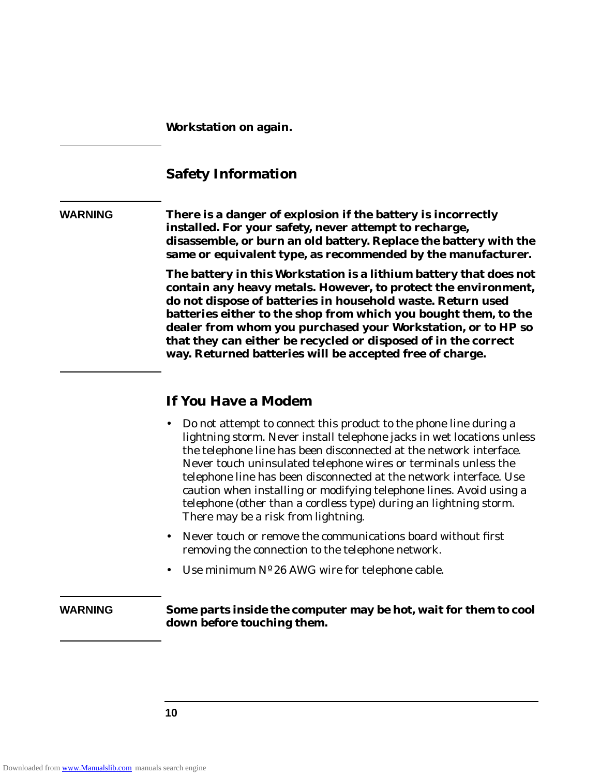**Workstation on again.**

### **Safety Information**

**WARNING There is a danger of explosion if the battery is incorrectly installed. For your safety, never attempt to recharge, disassemble, or burn an old battery. Replace the battery with the same or equivalent type, as recommended by the manufacturer.**

> **The battery in this Workstation is a lithium battery that does not contain any heavy metals. However, to protect the environment, do not dispose of batteries in household waste. Return used batteries either to the shop from which you bought them, to the dealer from whom you purchased your Workstation, or to HP so that they can either be recycled or disposed of in the correct way. Returned batteries will be accepted free of charge.**

#### **If You Have a Modem**

- Do not attempt to connect this product to the phone line during a lightning storm. Never install telephone jacks in wet locations unless the telephone line has been disconnected at the network interface. Never touch uninsulated telephone wires or terminals unless the telephone line has been disconnected at the network interface. Use caution when installing or modifying telephone lines. Avoid using a telephone (other than a cordless type) during an lightning storm. There may be a risk from lightning.
- Never touch or remove the communications board without first removing the connection to the telephone network.
- Use minimum Nº 26 AWG wire for telephone cable.

#### **WARNING Some parts inside the computer may be hot, wait for them to cool down before touching them.**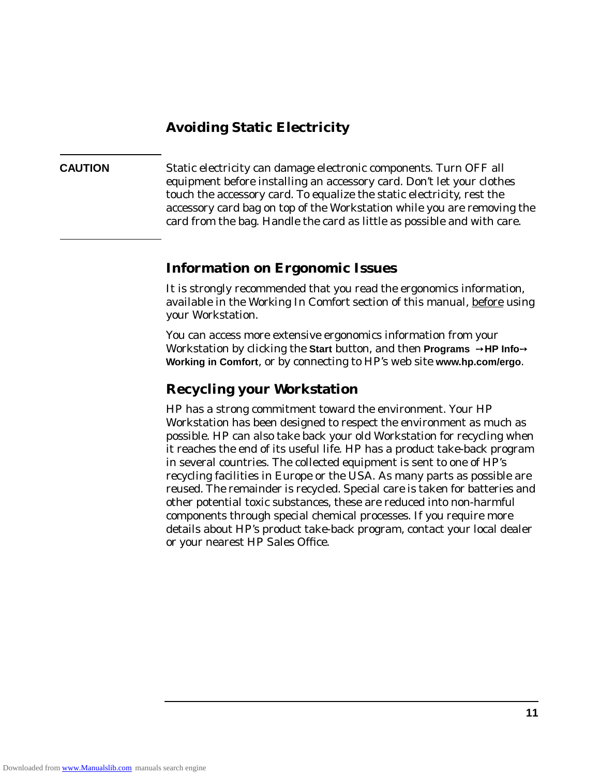### **Avoiding Static Electricity**

**CAUTION** Static electricity can damage electronic components. Turn OFF all equipment before installing an accessory card. Don't let your clothes touch the accessory card. To equalize the static electricity, rest the accessory card bag on top of the Workstation while you are removing the card from the bag. Handle the card as little as possible and with care.

#### **Information on Ergonomic Issues**

It is strongly recommended that you read the ergonomics information, available in the *Working In Comfort* section of this manual, before using your Workstation.

You can access more extensive ergonomics information from your Workstation by clicking the **Start** button, and then **Programs** ➙ **HP Info**➙ **Working in Comfort**, or by connecting to HP's web site **www.hp.com/ergo**.

## **Recycling your Workstation**

HP has a strong commitment toward the environment. Your HP Workstation has been designed to respect the environment as much as possible. HP can also take back your old Workstation for recycling when it reaches the end of its useful life. HP has a product take-back program in several countries. The collected equipment is sent to one of HP's recycling facilities in Europe or the USA. As many parts as possible are reused. The remainder is recycled. Special care is taken for batteries and other potential toxic substances, these are reduced into non-harmful components through special chemical processes. If you require more details about HP's product take-back program, contact your local dealer or your nearest HP Sales Office.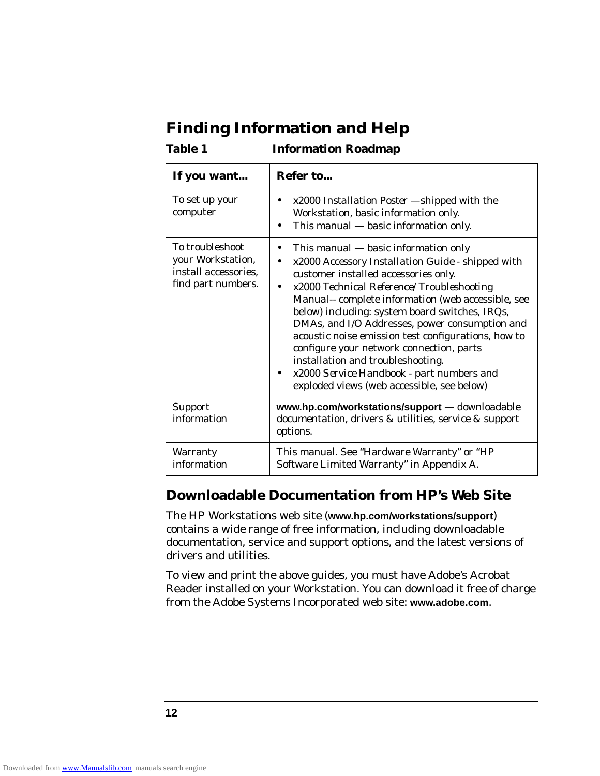## **Finding Information and Help**

**Table 1 Information Roadmap**

| If you want                                                                        | Refer to                                                                                                                                                                                                                                                                                                                                                                                                                                                                                                                                                                                |
|------------------------------------------------------------------------------------|-----------------------------------------------------------------------------------------------------------------------------------------------------------------------------------------------------------------------------------------------------------------------------------------------------------------------------------------------------------------------------------------------------------------------------------------------------------------------------------------------------------------------------------------------------------------------------------------|
| To set up your<br>computer                                                         | x2000 Installation Poster — shipped with the<br>Workstation, basic information only.<br>This manual — basic information only.                                                                                                                                                                                                                                                                                                                                                                                                                                                           |
| To troubleshoot<br>your Workstation,<br>install accessories.<br>find part numbers. | This manual $-$ basic information only<br>x2000 Accessory Installation Guide - shipped with<br>customer installed accessories only.<br>x2000 Technical Reference/Troubleshooting<br>٠<br>Manual-- complete information (web accessible, see<br>below) including: system board switches, IRQs,<br>DMAs, and I/O Addresses, power consumption and<br>acoustic noise emission test configurations, how to<br>configure your network connection, parts<br>installation and troubleshooting.<br>x2000 Service Handbook - part numbers and<br>٠<br>exploded views (web accessible, see below) |
| <b>Support</b><br>information                                                      | www.hp.com/workstations/support - downloadable<br>documentation, drivers & utilities, service & support<br>options.                                                                                                                                                                                                                                                                                                                                                                                                                                                                     |
| Warranty<br>information                                                            | This manual. See "Hardware Warranty" or "HP<br>Software Limited Warranty" in Appendix A.                                                                                                                                                                                                                                                                                                                                                                                                                                                                                                |

## **Downloadable Documentation from HP's Web Site**

The HP Workstations web site (**www.hp.com/workstations/support**) contains a wide range of free information, including downloadable documentation, service and support options, and the latest versions of drivers and utilities.

To view and print the above guides, you must have Adobe's Acrobat Reader installed on your Workstation. You can download it free of charge from the Adobe Systems Incorporated web site: **www.adobe.com**.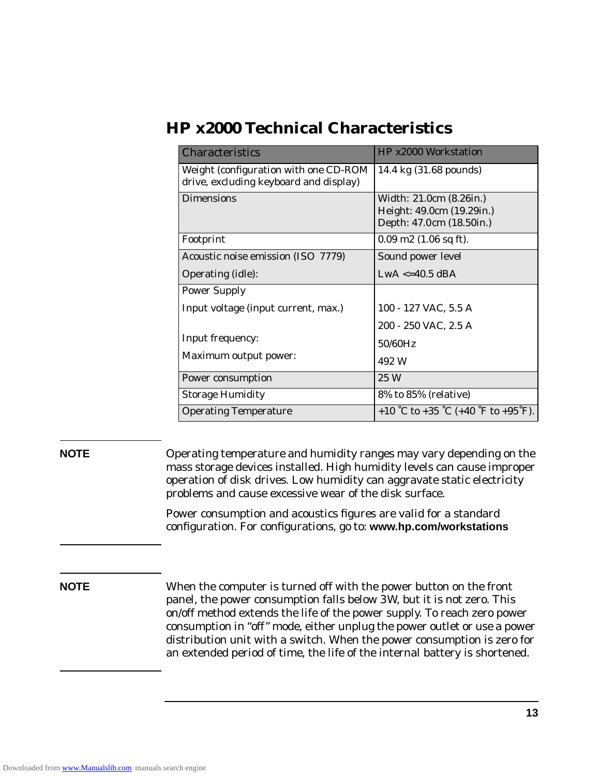## **HP x2000 Technical Characteristics**

| <b>Characteristics</b>                                                          | HP x2000 Workstation                                                             |
|---------------------------------------------------------------------------------|----------------------------------------------------------------------------------|
| Weight (configuration with one CD-ROM<br>drive, excluding keyboard and display) | 14.4 kg (31.68 pounds)                                                           |
| <b>Dimensions</b>                                                               | Width: 21.0cm (8.26in.)<br>Height: 49.0cm (19.29in.)<br>Depth: 47.0cm (18.50in.) |
| Footprint                                                                       | $0.09$ m2 $(1.06$ sq ft).                                                        |
| Acoustic noise emission (ISO 7779)                                              | Sound power level                                                                |
| Operating (idle):                                                               | $LwA \leq 40.5$ dBA                                                              |
| <b>Power Supply</b>                                                             |                                                                                  |
| Input voltage (input current, max.)                                             | 100 - 127 VAC, 5.5 A                                                             |
|                                                                                 | 200 - 250 VAC, 2.5 A                                                             |
| Input frequency:                                                                | 50/60Hz                                                                          |
| Maximum output power:                                                           | 492 W                                                                            |
| Power consumption                                                               | 25 W                                                                             |
| <b>Storage Humidity</b>                                                         | 8% to 85% (relative)                                                             |
| <b>Operating Temperature</b>                                                    | +10 °C to +35 °C (+40 °F to +95 °F).                                             |

**NOTE** Operating temperature and humidity ranges may vary depending on the mass storage devices installed. High humidity levels can cause improper operation of disk drives. Low humidity can aggravate static electricity problems and cause excessive wear of the disk surface.

> Power consumption and acoustics figures are valid for a standard configuration. For configurations, go to: **www.hp.com/workstations**

**NOTE** When the computer is turned off with the power button on the front panel, the power consumption falls below 3W, but it is not zero. This on/off method extends the life of the power supply. To reach zero power consumption in "off" mode, either unplug the power outlet or use a power distribution unit with a switch. When the power consumption is zero for an extended period of time, the life of the internal battery is shortened.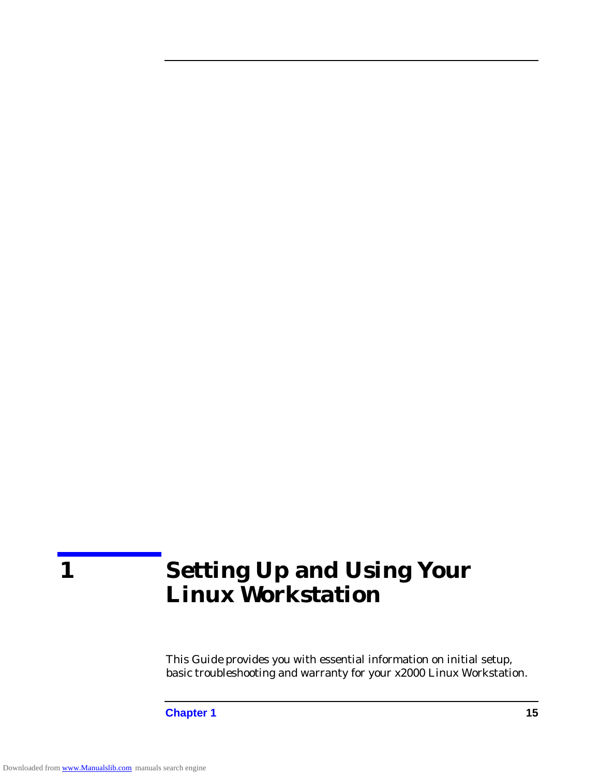# **1 Setting Up and Using Your Linux Workstation**

This *Guide* provides you with essential information on initial setup, basic troubleshooting and warranty for your x2000 Linux Workstation.

**Chapter 1 15**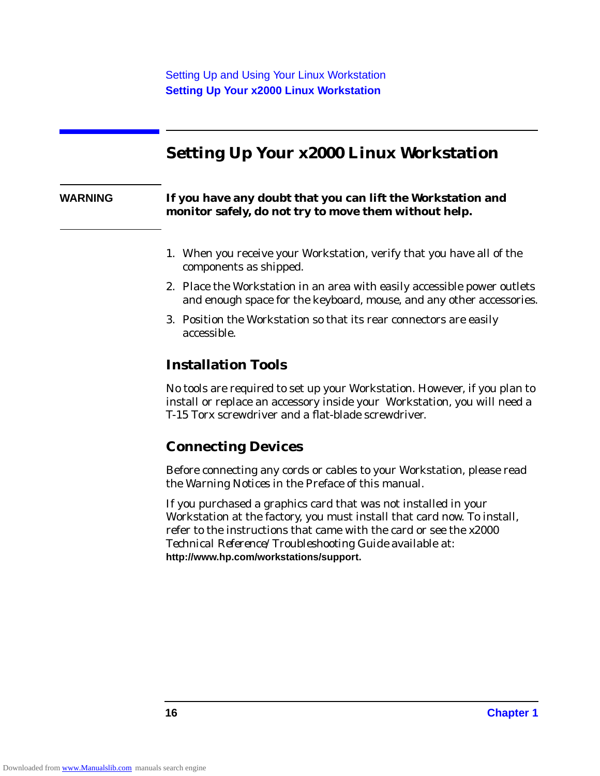

No tools are required to set up your Workstation. However, if you plan to install or replace an accessory inside your Workstation, you will need a T-15 Torx screwdriver and a flat-blade screwdriver.

## **Connecting Devices**

Before connecting any cords or cables to your Workstation, please read the *Warning Notices* in the Preface of this manual.

If you purchased a graphics card that was not installed in your Workstation at the factory, you must install that card now. To install, refer to the instructions that came with the card or see the *x2000 Technical Reference/Troubleshooting Guide* available at: **http://www.hp.com/workstations/support.**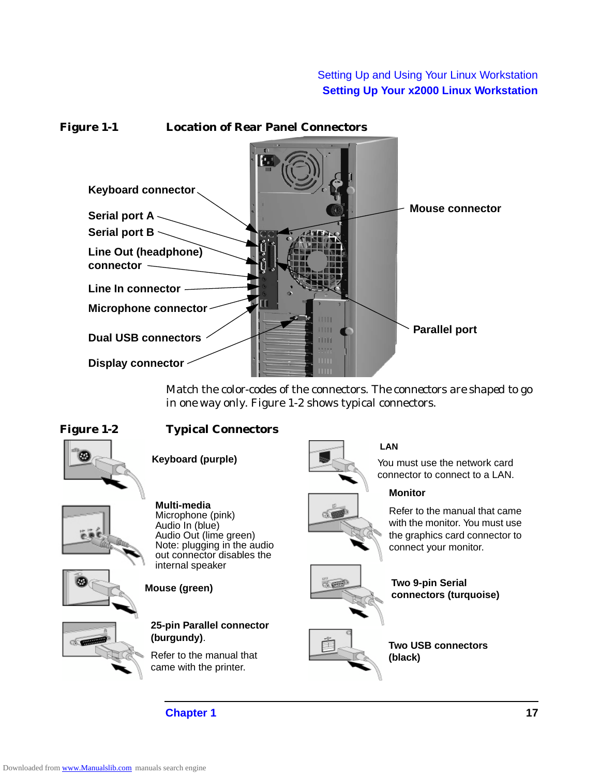### Setting Up and Using Your Linux Workstation **Setting Up Your x2000 Linux Workstation**



Match the color-codes of the connectors. *The connectors are shaped to go in one way only*. Figure 1-2 shows typical connectors.

## **Figure 1-2 Typical Connectors**



**Keyboard (purple)**



**Multi-media** Microphone (pink) Audio In (blue) Audio Out (lime green) Note: plugging in the audio out connector disables the internal speaker

**Mouse (green)**



**25-pin Parallel connector (burgundy)**.

Refer to the manual that came with the printer.



#### **LAN**

You must use the network card connector to connect to a LAN.

#### **Monitor**

Refer to the manual that came with the monitor. You must use the graphics card connector to connect your monitor.

#### **Two 9-pin Serial connectors (turquoise)**



**Chapter 1 17**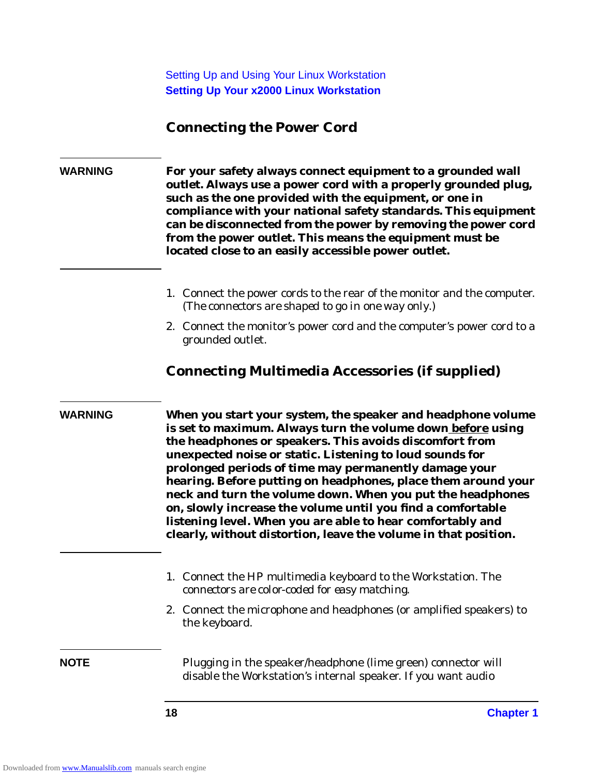Setting Up and Using Your Linux Workstation **Setting Up Your x2000 Linux Workstation**

## **Connecting the Power Cord**

| <b>WARNING</b> | For your safety always connect equipment to a grounded wall<br>outlet. Always use a power cord with a properly grounded plug,<br>such as the one provided with the equipment, or one in<br>compliance with your national safety standards. This equipment<br>can be disconnected from the power by removing the power cord<br>from the power outlet. This means the equipment must be<br>located close to an easily accessible power outlet.                                                                                                                                                                                               |  |  |
|----------------|--------------------------------------------------------------------------------------------------------------------------------------------------------------------------------------------------------------------------------------------------------------------------------------------------------------------------------------------------------------------------------------------------------------------------------------------------------------------------------------------------------------------------------------------------------------------------------------------------------------------------------------------|--|--|
|                | 1. Connect the power cords to the rear of the monitor and the computer.<br>(The connectors are shaped to go in one way only.)                                                                                                                                                                                                                                                                                                                                                                                                                                                                                                              |  |  |
|                | 2. Connect the monitor's power cord and the computer's power cord to a<br>grounded outlet.                                                                                                                                                                                                                                                                                                                                                                                                                                                                                                                                                 |  |  |
|                | <b>Connecting Multimedia Accessories (if supplied)</b>                                                                                                                                                                                                                                                                                                                                                                                                                                                                                                                                                                                     |  |  |
| <b>WARNING</b> | When you start your system, the speaker and headphone volume<br>is set to maximum. Always turn the volume down before using<br>the headphones or speakers. This avoids discomfort from<br>unexpected noise or static. Listening to loud sounds for<br>prolonged periods of time may permanently damage your<br>hearing. Before putting on headphones, place them around your<br>neck and turn the volume down. When you put the headphones<br>on, slowly increase the volume until you find a comfortable<br>listening level. When you are able to hear comfortably and<br>clearly, without distortion, leave the volume in that position. |  |  |
|                | 1. Connect the HP multimedia keyboard to the Workstation. The<br>connectors are color-coded for easy matching.                                                                                                                                                                                                                                                                                                                                                                                                                                                                                                                             |  |  |
|                | 2. Connect the microphone and headphones (or amplified speakers) to<br>the keyboard.                                                                                                                                                                                                                                                                                                                                                                                                                                                                                                                                                       |  |  |
| <b>NOTE</b>    | Plugging in the speaker/headphone (lime green) connector will<br>disable the Workstation's internal speaker. If you want audio                                                                                                                                                                                                                                                                                                                                                                                                                                                                                                             |  |  |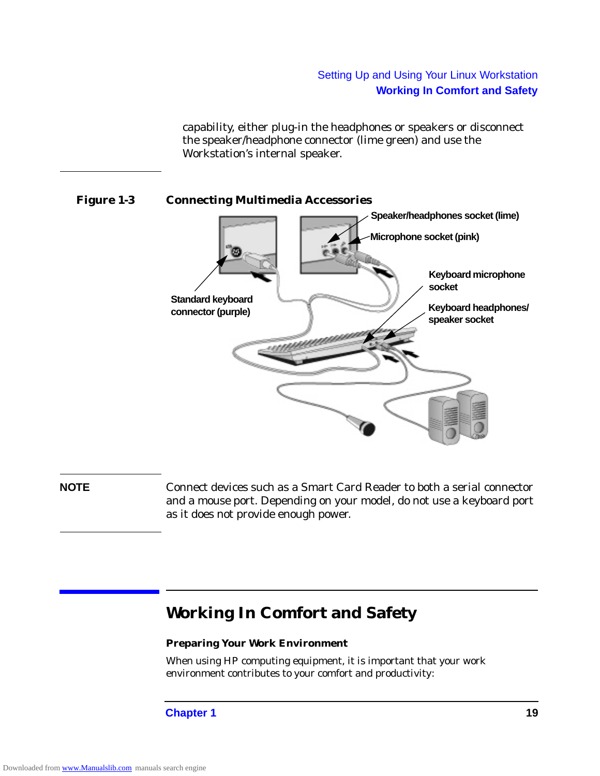capability, either plug-in the headphones or speakers or disconnect the speaker/headphone connector (lime green) and use the Workstation's internal speaker.

#### **Figure 1-3 Connecting Multimedia Accessories**



**NOTE** Connect devices such as a Smart Card Reader to both a serial connector and a mouse port. Depending on your model, do not use a keyboard port as it does not provide enough power.

## **Working In Comfort and Safety**

#### **Preparing Your Work Environment**

When using HP computing equipment, it is important that your work environment contributes to your comfort and productivity:

**Chapter 1 19**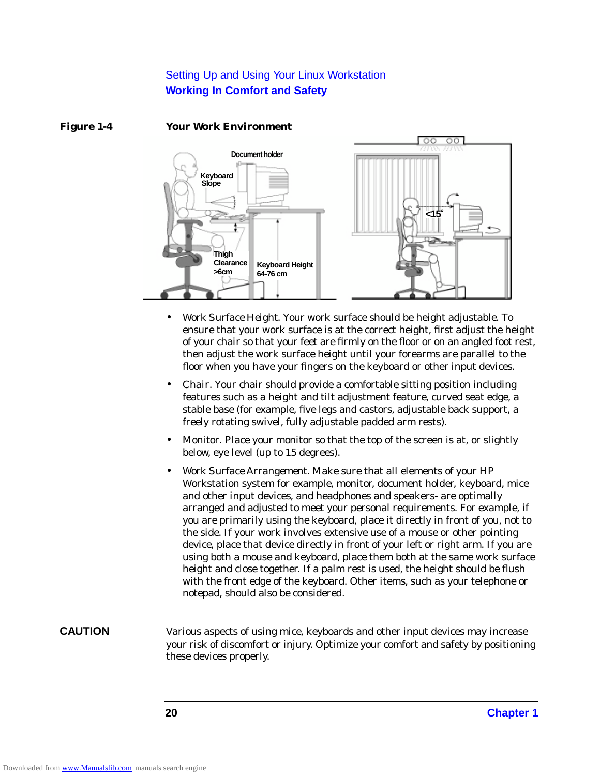#### **Figure 1-4 Your Work Environment**



- *Work Surface Height*. Your work surface should be height adjustable. To ensure that your work surface is at the correct height, first adjust the height of your chair so that your feet are firmly on the floor or on an angled foot rest, then adjust the work surface height until your forearms are parallel to the floor when you have your fingers on the keyboard or other input devices.
- *Chair*. Your chair should provide a comfortable sitting position including features such as a height and tilt adjustment feature, curved seat edge, a stable base (for example, five legs and castors, adjustable back support, a freely rotating swivel, fully adjustable padded arm rests).
- *Monitor*. Place your monitor so that the top of the screen is at, or slightly below, eye level (up to 15 degrees).
- *Work Surface Arrangement*. Make sure that all elements of your HP Workstation system for example, monitor, document holder, keyboard, mice and other input devices, and headphones and speakers- are optimally arranged and adjusted to meet your personal requirements. For example, if you are primarily using the keyboard, place it directly in front of you, not to the side. If your work involves extensive use of a mouse or other pointing device, place that device directly in front of your left or right arm. If you are using both a mouse and keyboard, place them both at the same work surface height and close together. If a palm rest is used, the height should be flush with the front edge of the keyboard. Other items, such as your telephone or notepad, should also be considered.

**CAUTION** Various aspects of using mice, keyboards and other input devices may increase your risk of discomfort or injury. Optimize your comfort and safety by positioning these devices properly.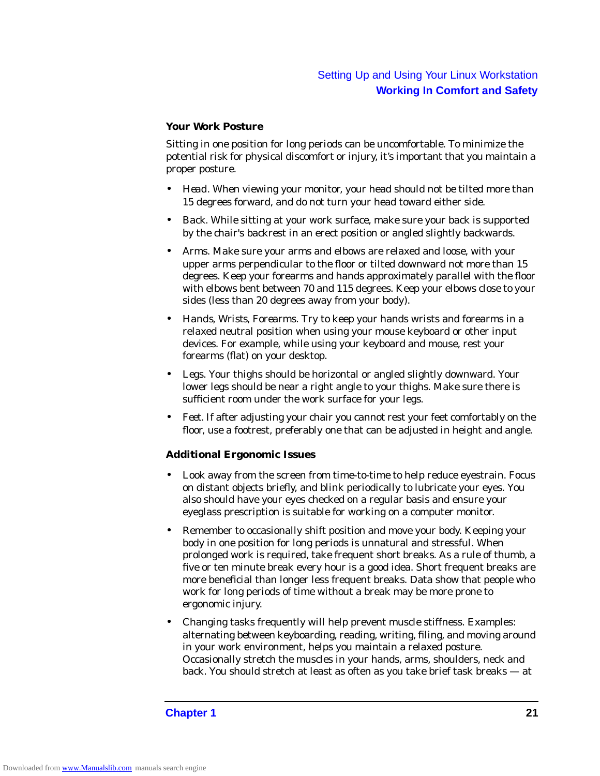#### **Your Work Posture**

Sitting in one position for long periods can be uncomfortable. To minimize the potential risk for physical discomfort or injury, it's important that you maintain a proper posture.

- *Head*. When viewing your monitor, your head should not be tilted more than 15 degrees forward, and do not turn your head toward either side.
- *Back*. While sitting at your work surface, make sure your back is supported by the chair's backrest in an erect position or angled slightly backwards.
- *Arms*. Make sure your arms and elbows are relaxed and loose, with your upper arms perpendicular to the floor or tilted downward not more than 15 degrees. Keep your forearms and hands approximately parallel with the floor with elbows bent between 70 and 115 degrees. Keep your elbows close to your sides (less than 20 degrees away from your body).
- *Hands, Wrists, Forearms*. Try to keep your hands wrists and forearms in a relaxed neutral position when using your mouse keyboard or other input devices. For example, while using your keyboard and mouse, rest your forearms (flat) on your desktop.
- *Legs*. Your thighs should be horizontal or angled slightly downward. Your lower legs should be near a right angle to your thighs. Make sure there is sufficient room under the work surface for your legs.
- *Feet*. If after adjusting your chair you cannot rest your feet comfortably on the floor, use a footrest, preferably one that can be adjusted in height and angle.

#### **Additional Ergonomic Issues**

- Look away from the screen from time-to-time to help reduce eyestrain. Focus on distant objects briefly, and blink periodically to lubricate your eyes. You also should have your eyes checked on a regular basis and ensure your eyeglass prescription is suitable for working on a computer monitor.
- Remember to occasionally shift position and move your body. Keeping your body in one position for long periods is unnatural and stressful. When prolonged work is required, take frequent short breaks. As a rule of thumb, a five or ten minute break every hour is a good idea. Short frequent breaks are more beneficial than longer less frequent breaks. Data show that people who work for long periods of time without a break may be more prone to ergonomic injury.
- Changing tasks frequently will help prevent muscle stiffness. Examples: alternating between keyboarding, reading, writing, filing, and moving around in your work environment, helps you maintain a relaxed posture. Occasionally stretch the muscles in your hands, arms, shoulders, neck and back. You should stretch at least as often as you take brief task breaks — at

**Chapter 1 21**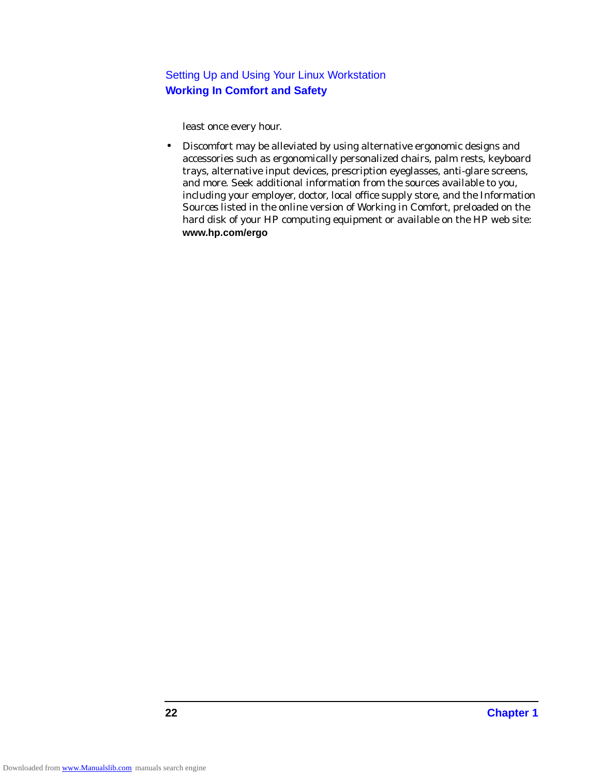least once every hour.

• Discomfort may be alleviated by using alternative ergonomic designs and accessories such as ergonomically personalized chairs, palm rests, keyboard trays, alternative input devices, prescription eyeglasses, anti-glare screens, and more. Seek additional information from the sources available to you, including your employer, doctor, local office supply store, and the *Information Sources* listed in the online version of *Working in Comfort*, preloaded on the hard disk of your HP computing equipment or available on the HP web site: **www.hp.com/ergo**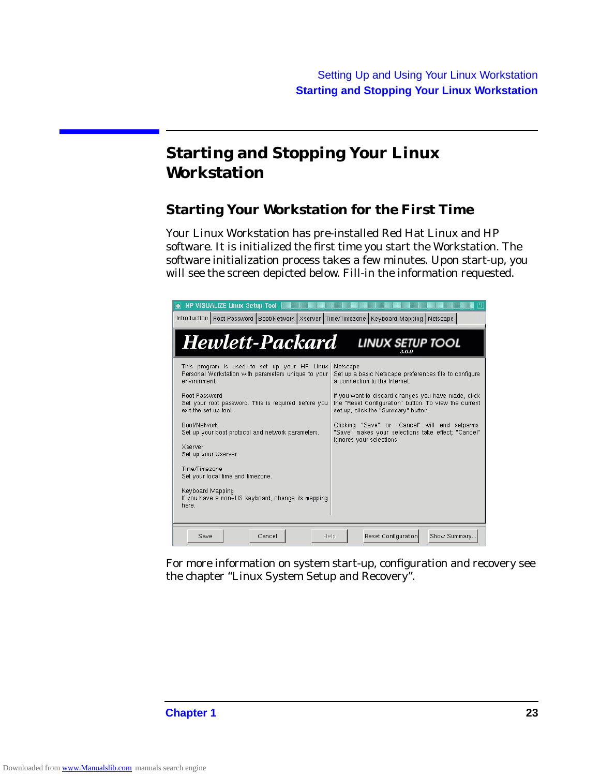## **Starting and Stopping Your Linux Workstation**

## **Starting Your Workstation for the First Time**

Your Linux Workstation has pre-installed Red Hat Linux and HP software. It is initialized the first time you start the Workstation. The software initialization process takes a few minutes. Upon start-up, you will see the screen depicted below. Fill-in the information requested.

| <b>HP VISUALIZE Linux Setup Tool</b>                                                                                | 凹                                                                                                                                                   |
|---------------------------------------------------------------------------------------------------------------------|-----------------------------------------------------------------------------------------------------------------------------------------------------|
| Introduction   Root Password   Boot/Network   Xserver   Time/Timezone   Keyboard Mapping   Netscape                 |                                                                                                                                                     |
| <b>Hewlett-Packard</b>                                                                                              | LINUX SETUP TOOL<br>3.0.0                                                                                                                           |
| This program is used to set up your HP Linux<br>Personal Workstation with parameters unique to your<br>environment. | Netscape<br>Set up a basic Netscape preferences file to configure<br>a connection to the Internet.                                                  |
| Root Password<br>Set your root password. This is required before you<br>exit the set up tool.                       | If you want to discard changes you have made, click<br>the "Reset Configuration" button. To view the current<br>set up, click the "Summary" button. |
| <b>Boot/Network</b><br>Set up your boot protocol and network parameters.                                            | Clicking "Save" or "Cancel" will end setparms.<br>"Save" makes your selections take effect; "Cancel"<br>ignores your selections.                    |
| Xserver<br>Set up your Xserver.                                                                                     |                                                                                                                                                     |
| Time/Timezone<br>Set your local time and timezone.                                                                  |                                                                                                                                                     |
| Keyboard Mapping<br>If you have a non-US keyboard, change its mapping<br>here.                                      |                                                                                                                                                     |
| Save<br>Cancel<br>Help                                                                                              | Reset Configuration<br>Show Summary.                                                                                                                |

For more information on system start-up, configuration and recovery see the chapter "Linux System Setup and Recovery".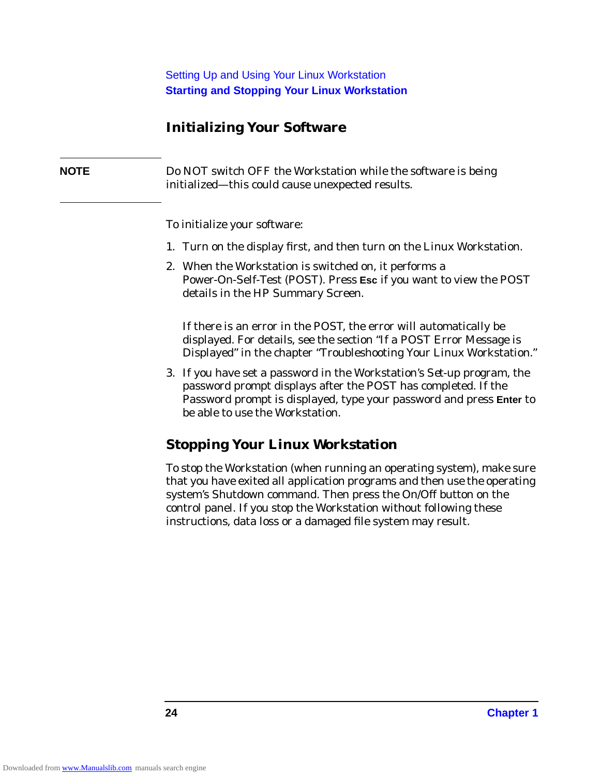Setting Up and Using Your Linux Workstation **Starting and Stopping Your Linux Workstation**

## **Initializing Your Software**

| <b>NOTE</b> | Do NOT switch OFF the Workstation while the software is being |
|-------------|---------------------------------------------------------------|
|             | initialized—this could cause unexpected results.              |

To initialize your software:

- 1. Turn on the display first, and then turn on the Linux Workstation.
- 2. When the Workstation is switched on, it performs a Power-On-Self-Test (POST). Press **Esc** if you want to view the POST details in the HP Summary Screen.

If there is an error in the POST, the error will automatically be displayed. For details, see the section "If a POST Error Message is Displayed" in the chapter "Troubleshooting Your Linux Workstation."

3. If you have set a password in the Workstation's *Set-up* program, the password prompt displays after the POST has completed. If the Password prompt is displayed, type your password and press **Enter** to be able to use the Workstation.

## **Stopping Your Linux Workstation**

To stop the Workstation (when running an operating system), make sure that you have exited all application programs and then use the operating system's Shutdown command. Then press the On/Off button on the control panel. If you stop the Workstation without following these instructions, data loss or a damaged file system may result.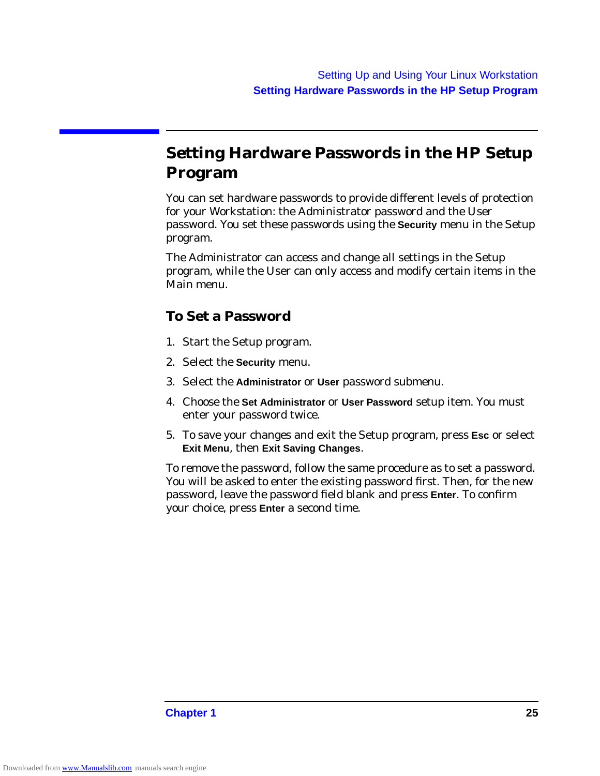## **Setting Hardware Passwords in the HP Setup Program**

You can set hardware passwords to provide different levels of protection for your Workstation: the Administrator password and the User password. You set these passwords using the **Security** menu in the Setup program.

The Administrator can access and change all settings in the Setup program, while the User can only access and modify certain items in the Main menu.

## **To Set a Password**

- 1. Start the Setup program.
- 2. Select the **Security** menu.
- 3. Select the **Administrator** or **User** password submenu.
- 4. Choose the **Set Administrator** or **User Password** setup item. You must enter your password twice.
- 5. To save your changes and exit the Setup program, press **Esc** or select **Exit Menu**, then **Exit Saving Changes**.

To remove the password, follow the same procedure as to set a password. You will be asked to enter the existing password first. Then, for the new password, leave the password field blank and press **Enter**. To confirm your choice, press **Enter** a second time.

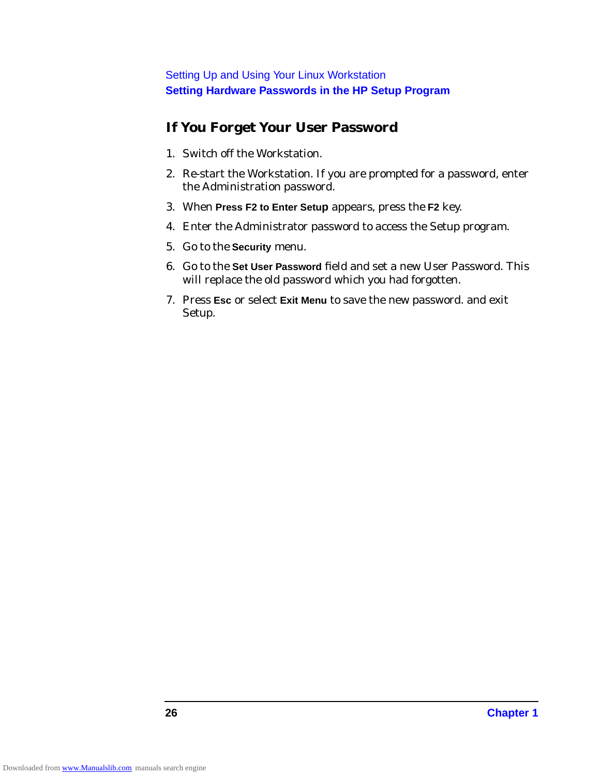### Setting Up and Using Your Linux Workstation **Setting Hardware Passwords in the HP Setup Program**

## **If You Forget Your User Password**

- 1. Switch off the Workstation.
- 2. Re-start the Workstation. If you are prompted for a password, enter the Administration password.
- 3. When **Press F2 to Enter Setup** appears, press the **F2** key.
- 4. Enter the Administrator password to access the Setup program.
- 5. Go to the **Security** menu.
- 6. Go to the **Set User Password** field and set a new User Password. This will replace the old password which you had forgotten.
- 7. Press **Esc** or select **Exit Menu** to save the new password. and exit Setup.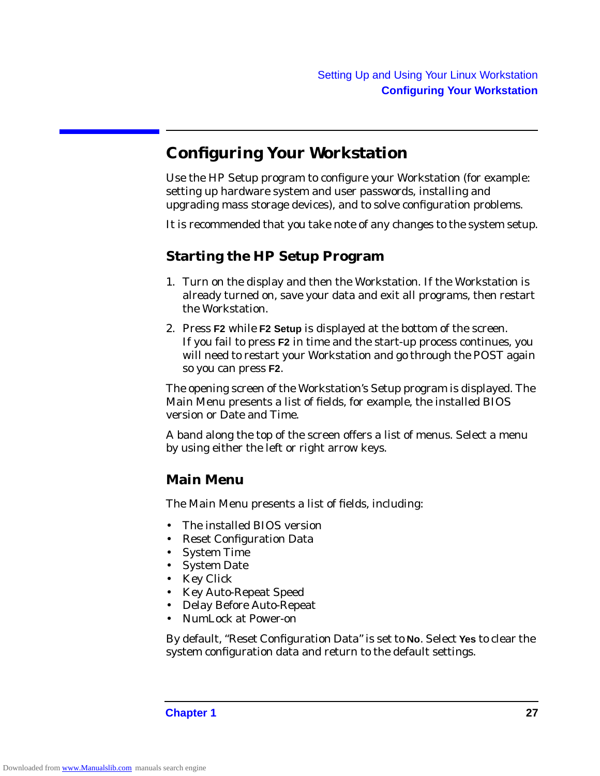## **Configuring Your Workstation**

Use the HP Setup program to configure your Workstation (for example: setting up hardware system and user passwords, installing and upgrading mass storage devices), and to solve configuration problems.

It is recommended that you take note of any changes to the system setup.

## **Starting the HP Setup Program**

- 1. Turn on the display and then the Workstation. If the Workstation is already turned on, save your data and exit all programs, then restart the Workstation.
- 2. Press **F2** while **F2 Setup** is displayed at the bottom of the screen. If you fail to press **F2** in time and the start-up process continues, you will need to restart your Workstation and go through the POST again so you can press **F2**.

The opening screen of the Workstation's Setup program is displayed. The Main Menu presents a list of fields, for example, the installed BIOS version or Date and Time.

A band along the top of the screen offers a list of menus. Select a menu by using either the left or right arrow keys.

## **Main Menu**

The Main Menu presents a list of fields, including:

- The installed BIOS version
- Reset Configuration Data
- System Time
- System Date
- Key Click
- Key Auto-Repeat Speed
- Delay Before Auto-Repeat
- NumLock at Power-on

By default, "Reset Configuration Data" is set to **No**. Select **Yes** to clear the system configuration data and return to the default settings.

**Chapter 1 27**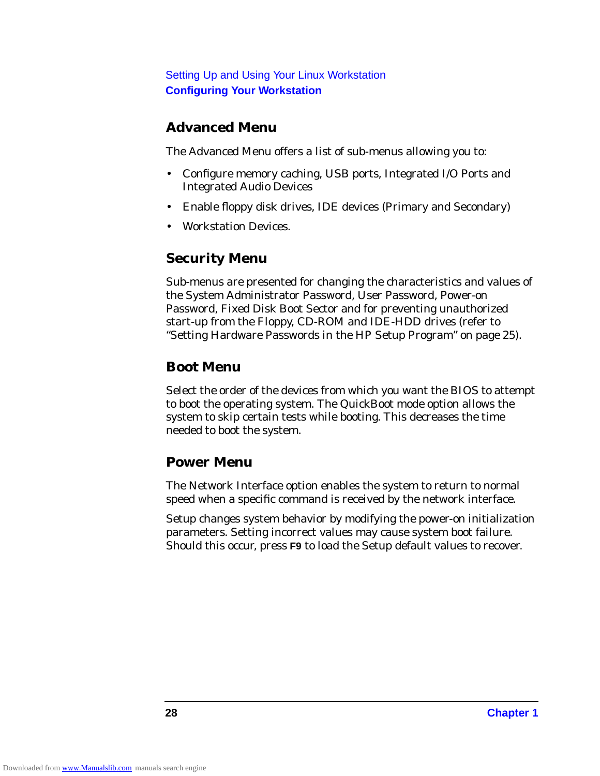### Setting Up and Using Your Linux Workstation **Configuring Your Workstation**

## **Advanced Menu**

The Advanced Menu offers a list of sub-menus allowing you to:

- Configure memory caching, USB ports, Integrated I/O Ports and Integrated Audio Devices
- Enable floppy disk drives, IDE devices (Primary and Secondary)
- Workstation Devices.

## **Security Menu**

Sub-menus are presented for changing the characteristics and values of the System Administrator Password, User Password, Power-on Password, Fixed Disk Boot Sector and for preventing unauthorized start-up from the Floppy, CD-ROM and IDE-HDD drives (refer to "Setting Hardware Passwords in the HP Setup Program" on page 25).

## **Boot Menu**

Select the order of the devices from which you want the BIOS to attempt to boot the operating system. The QuickBoot mode option allows the system to skip certain tests while booting. This decreases the time needed to boot the system.

## **Power Menu**

The Network Interface option enables the system to return to normal speed when a specific command is received by the network interface.

Setup changes system behavior by modifying the power-on initialization parameters. Setting incorrect values may cause system boot failure. Should this occur, press **F9** to load the Setup default values to recover.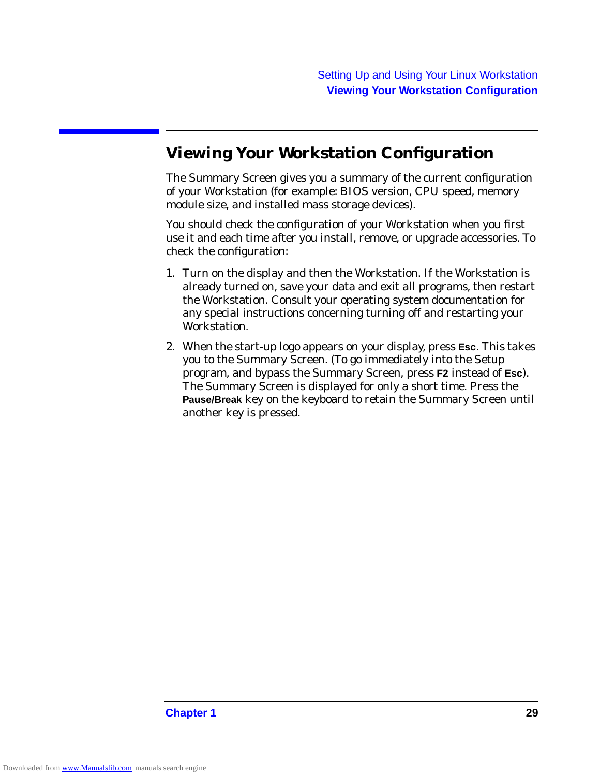## **Viewing Your Workstation Configuration**

The Summary Screen gives you a summary of the current configuration of your Workstation (for example: BIOS version, CPU speed, memory module size, and installed mass storage devices).

You should check the configuration of your Workstation when you first use it and each time after you install, remove, or upgrade accessories. To check the configuration:

- 1. Turn on the display and then the Workstation. If the Workstation is already turned on, save your data and exit all programs, then restart the Workstation. Consult your operating system documentation for any special instructions concerning turning off and restarting your Workstation.
- 2. When the start-up logo appears on your display, press **Esc**. This takes you to the Summary Screen. (To go immediately into the Setup program, and bypass the Summary Screen, press **F2** instead of **Esc**). The Summary Screen is displayed for only a short time. Press the **Pause/Break** key on the keyboard to retain the Summary Screen until another key is pressed.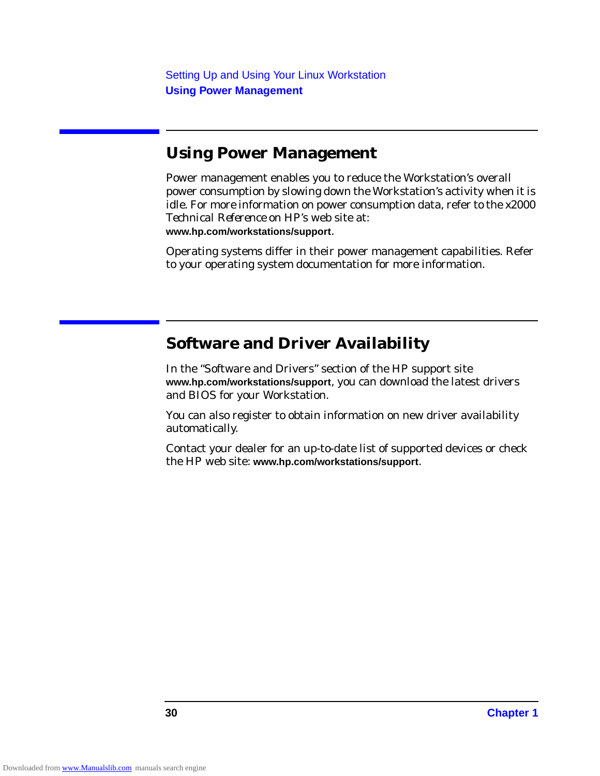Setting Up and Using Your Linux Workstation **Using Power Management**

## **Using Power Management**

Power management enables you to reduce the Workstation's overall power consumption by slowing down the Workstation's activity when it is idle. For more information on power consumption data, refer to the *x2000 Technical Reference* on HP's web site at: **www.hp.com/workstations/support**.

Operating systems differ in their power management capabilities. Refer to your operating system documentation for more information.

## **Software and Driver Availability**

In the "Software and Drivers" section of the HP support site **www.hp.com/workstations/support**, you can download the latest drivers and BIOS for your Workstation.

You can also register to obtain information on new driver availability automatically.

Contact your dealer for an up-to-date list of supported devices or check the HP web site: **www.hp.com/workstations/support**.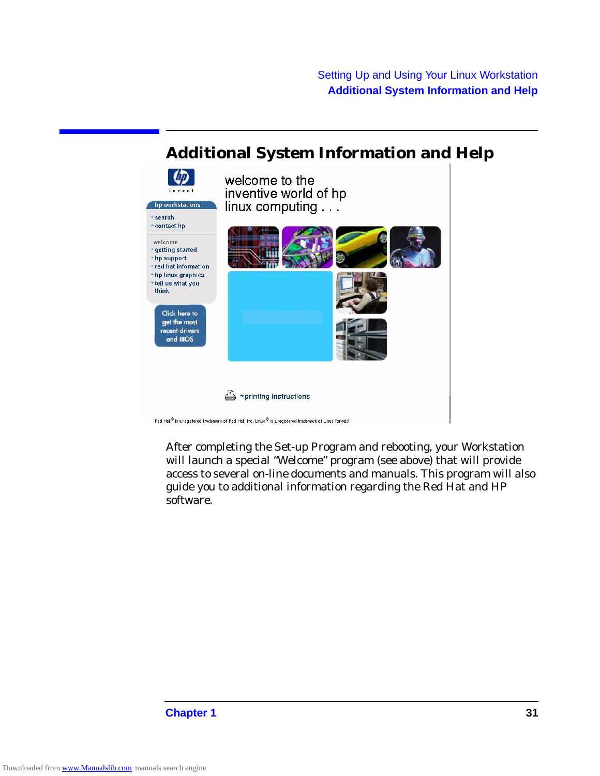

After completing the Set-up Program and rebooting, your Workstation will launch a special "Welcome" program (see above) that will provide access to several on-line documents and manuals. This program will also guide you to additional information regarding the Red Hat and HP software.

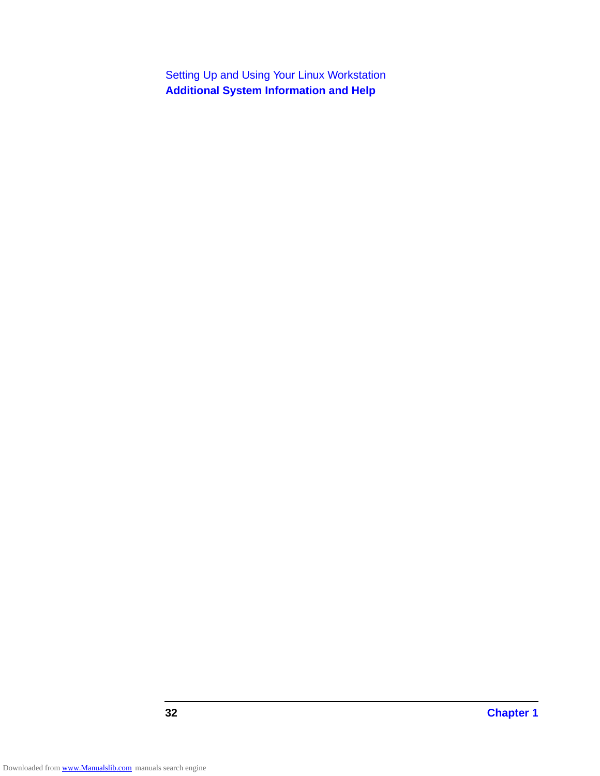Setting Up and Using Your Linux Workstation **Additional System Information and Help**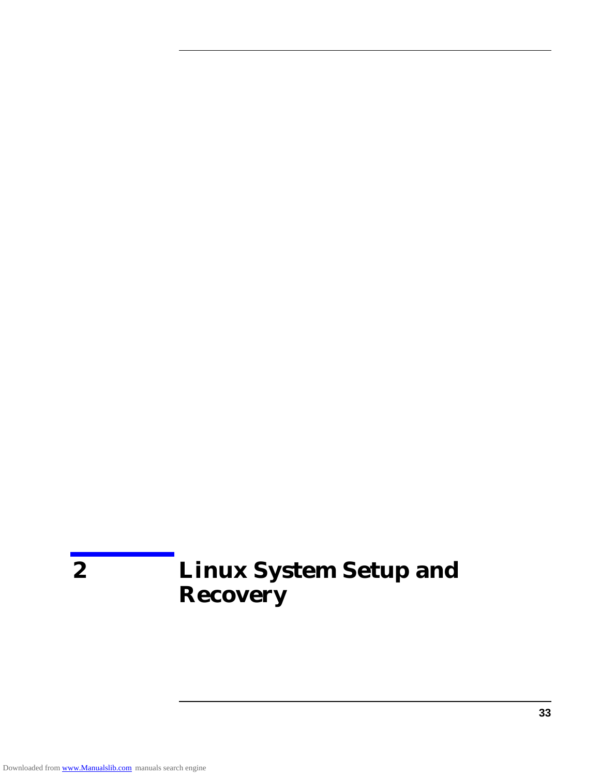# **2 Linux System Setup and Recovery**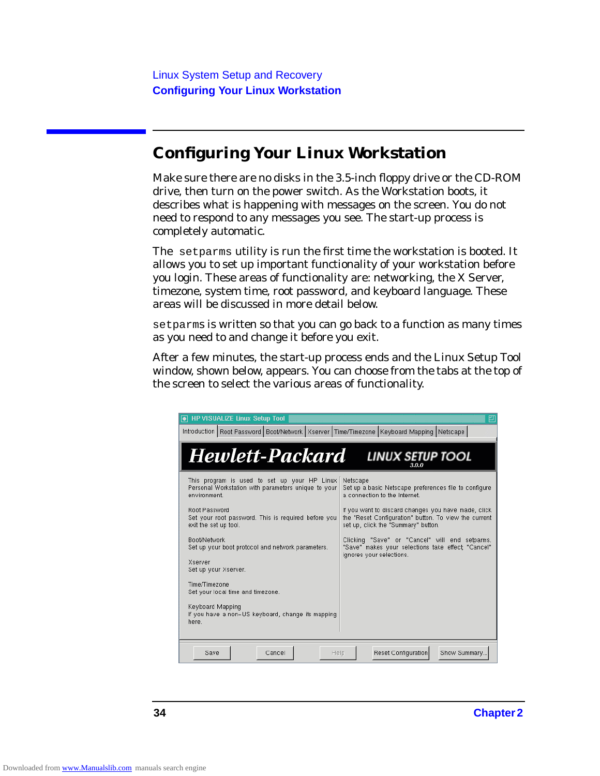## **Configuring Your Linux Workstation**

Make sure there are no disks in the 3.5-inch floppy drive or the CD-ROM drive, then turn on the power switch. As the Workstation boots, it describes what is happening with messages on the screen. You do not need to respond to any messages you see. The start-up process is completely automatic.

The setparms utility is run the first time the workstation is booted. It allows you to set up important functionality of your workstation before you login. These areas of functionality are: networking, the X Server, timezone, system time, root password, and keyboard language. These areas will be discussed in more detail below.

setparms is written so that you can go back to a function as many times as you need to and change it before you exit.

After a few minutes, the start-up process ends and the Linux Setup Tool window, shown below, appears. You can choose from the tabs at the top of the screen to select the various areas of functionality.

| <b>HP VISUALIZE Linux Setup Tool</b>                                                                                | 凹                                                                                                                                                    |
|---------------------------------------------------------------------------------------------------------------------|------------------------------------------------------------------------------------------------------------------------------------------------------|
| Introduction   Root Password   Boot/Network   Xserver   Time/Timezone   Keyboard Mapping   Netscape                 |                                                                                                                                                      |
| <b>Hewlett-Packard</b>                                                                                              | LINUX SETUP TOOL<br>3.0.0                                                                                                                            |
| This program is used to set up your HP Linux<br>Personal Workstation with parameters unique to your<br>environment. | Netscape<br>Set up a basic Netscape preferences file to configure<br>a connection to the Internet.                                                   |
| Root Password<br>Set your root password. This is required before you<br>exit the set up tool.                       | If you want to discard changes you have made, click.<br>the "Reset Configuration" button. To view the current<br>set up, click the "Summary" button. |
| <b>Boot/Network</b><br>Set up your boot protocol and network parameters.                                            | Clicking "Save" or "Cancel" will end setparms.<br>"Save" makes your selections take effect; "Cancel"<br>ignores your selections.                     |
| Xserver<br>Set up your Xserver.                                                                                     |                                                                                                                                                      |
| Time/Timezone<br>Set your local time and timezone.                                                                  |                                                                                                                                                      |
| Keyboard Mapping<br>If you have a non-US keyboard, change its mapping<br>here.                                      |                                                                                                                                                      |
| Save<br>Cancel<br>Help                                                                                              | Reset Configuration<br>Show Summary                                                                                                                  |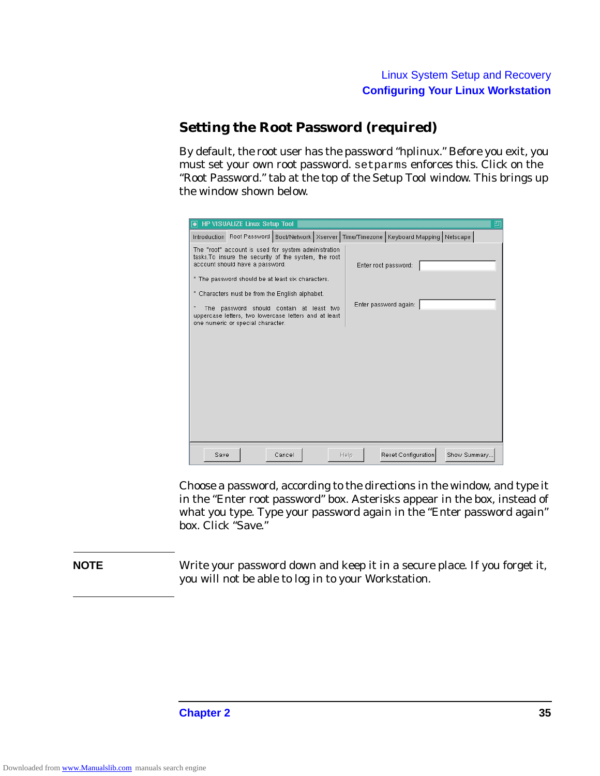## **Setting the Root Password (required)**

By default, the root user has the password "hplinux." Before you exit, you must set your own root password. setparms enforces this. Click on the "Root Password." tab at the top of the Setup Tool window. This brings up the window shown below.

| <b>HP VISUALIZE Linux Setup Tool</b><br>Ы                                                                                                                                                             | 凹                                           |
|-------------------------------------------------------------------------------------------------------------------------------------------------------------------------------------------------------|---------------------------------------------|
| Introduction Root Password   Boot/Network   Xserver   Time/Timezone   Keyboard Mapping   Netscape                                                                                                     |                                             |
| The "root" account is used for system administration<br>tasks. To insure the security of the system, the root<br>account should have a password.<br>* The password should be at least six characters. | Enter root password:                        |
| * Characters must be from the English alphabet.<br>×<br>The password should contain at least two<br>uppercase letters, two lowercase letters and at least<br>one numeric or special character.        | Enter password again:                       |
|                                                                                                                                                                                                       |                                             |
|                                                                                                                                                                                                       |                                             |
|                                                                                                                                                                                                       |                                             |
| Save<br>Cancel                                                                                                                                                                                        | Reset Configuration<br>Show Summary<br>Help |

Choose a password, according to the directions in the window, and type it in the "Enter root password" box. Asterisks appear in the box, instead of what you type. Type your password again in the "Enter password again" box. Click "Save."

**NOTE** Write your password down and keep it in a secure place. If you forget it, you will not be able to log in to your Workstation.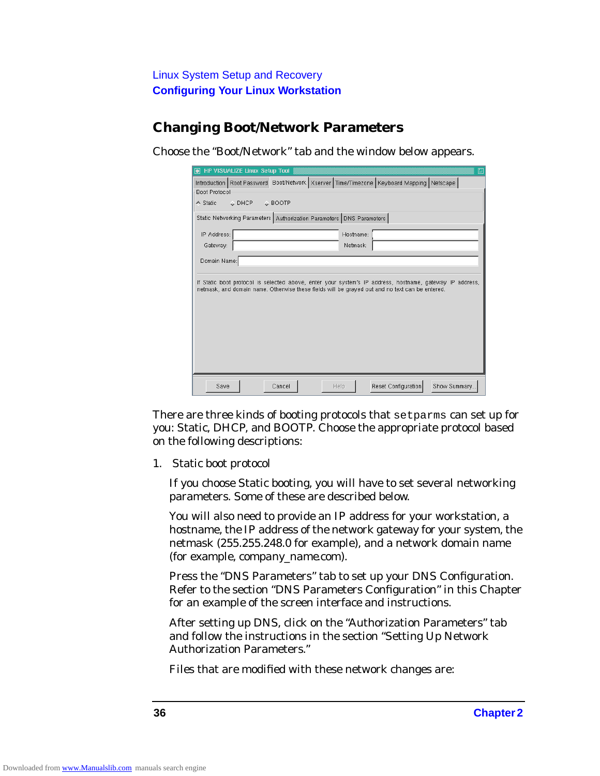#### Linux System Setup and Recovery **Configuring Your Linux Workstation**

## **Changing Boot/Network Parameters**

Choose the "Boot/Network" tab and the window below appears.

| <b>I</b> HP VISUALIZE Linux Setup Tool<br>凹                                                                                                                                                                 |
|-------------------------------------------------------------------------------------------------------------------------------------------------------------------------------------------------------------|
| Introduction   Root Password   Boot/Network   Xserver   Time/Timezone   Keyboard Mapping   Netscape  <br>Boot Protocol                                                                                      |
| ← Static<br>$\leftrightarrow$ DHCP<br>$\downarrow$ BOOTP                                                                                                                                                    |
| Static Networking Parameters   Authorization Parameters   DNS Parameters                                                                                                                                    |
| IP Address:<br>Hostname:                                                                                                                                                                                    |
| Gateway:<br>Netmask:                                                                                                                                                                                        |
| Domain Name:                                                                                                                                                                                                |
|                                                                                                                                                                                                             |
| If Static boot protocol is selected above, enter your system's IP address, hostname, gateway IP address,<br>netmask, and domain name. Otherwise these fields will be grayed out and no text can be entered. |
|                                                                                                                                                                                                             |
|                                                                                                                                                                                                             |
|                                                                                                                                                                                                             |
|                                                                                                                                                                                                             |
|                                                                                                                                                                                                             |
|                                                                                                                                                                                                             |
|                                                                                                                                                                                                             |
| Reset Configuration<br>Save<br>Cancel<br>Show Summary<br>Help                                                                                                                                               |

There are three kinds of booting protocols that setparms can set up for you: Static, DHCP, and BOOTP. Choose the appropriate protocol based on the following descriptions:

1. Static boot protocol

If you choose Static booting, you will have to set several networking parameters. Some of these are described below.

You will also need to provide an IP address for your workstation, a hostname, the IP address of the network gateway for your system, the netmask (255.255.248.0 for example), and a network domain name (for example, *company\_name.com*).

Press the "DNS Parameters" tab to set up your DNS Configuration. Refer to the section "DNS Parameters Configuration" in this Chapter for an example of the screen interface and instructions.

After setting up DNS, click on the "Authorization Parameters" tab and follow the instructions in the section "Setting Up Network Authorization Parameters."

Files that are modified with these network changes are: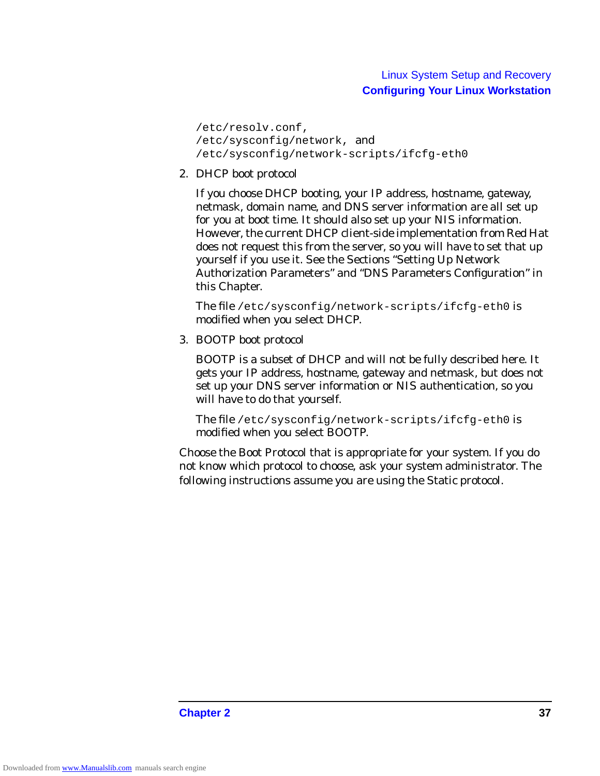#### Linux System Setup and Recovery **Configuring Your Linux Workstation**

```
/etc/resolv.conf,
/etc/sysconfig/network, and
/etc/sysconfig/network-scripts/ifcfg-eth0
```
#### 2. DHCP boot protocol

If you choose DHCP booting, your IP address, hostname, gateway, netmask, domain name, and DNS server information are all set up for you at boot time. It should also set up your NIS information. However, the current DHCP client-side implementation from Red Hat does not request this from the server, so you will have to set that up yourself if you use it. See the Sections "Setting Up Network Authorization Parameters" and "DNS Parameters Configuration" in this Chapter.

The file /etc/sysconfig/network-scripts/ifcfg-eth0 is modified when you select DHCP.

3. BOOTP boot protocol

BOOTP is a subset of DHCP and will not be fully described here. It gets your IP address, hostname, gateway and netmask, but does not set up your DNS server information or NIS authentication, so you will have to do that yourself.

The file /etc/sysconfig/network-scripts/ifcfg-eth0 is modified when you select BOOTP.

Choose the Boot Protocol that is appropriate for your system. If you do not know which protocol to choose, ask your system administrator. The following instructions assume you are using the Static protocol.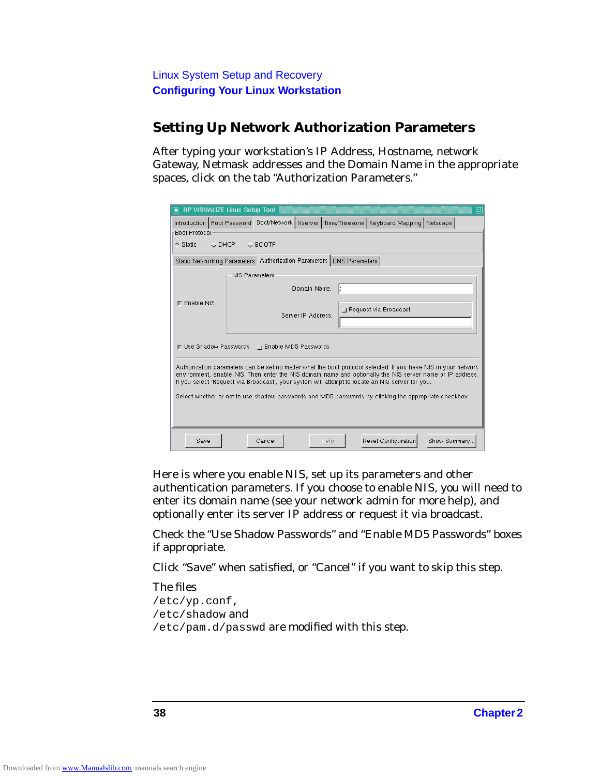# **Setting Up Network Authorization Parameters**

After typing your workstation's IP Address, Hostname, network Gateway, Netmask addresses and the Domain Name in the appropriate spaces, click on the tab "Authorization Parameters."

| I HP VISUALIZE Linux Setup Tool                                                                                                                                                                                                                                                                                                 | 凹                                                                                                   |  |
|---------------------------------------------------------------------------------------------------------------------------------------------------------------------------------------------------------------------------------------------------------------------------------------------------------------------------------|-----------------------------------------------------------------------------------------------------|--|
| Boot Protocol                                                                                                                                                                                                                                                                                                                   | Introduction   Root Password   Boot/Network   Xserver   Time/Timezone   Keyboard Mapping   Netscape |  |
| ∧ Static<br>$\Diamond$ DHCP<br>$\downarrow$ BOOTP                                                                                                                                                                                                                                                                               |                                                                                                     |  |
|                                                                                                                                                                                                                                                                                                                                 | Static Networking Parameters Authorization Parameters   DNS Parameters                              |  |
|                                                                                                                                                                                                                                                                                                                                 | NIS Parameters                                                                                      |  |
|                                                                                                                                                                                                                                                                                                                                 | Domain Name:                                                                                        |  |
| $\blacksquare$ Enable NIS                                                                                                                                                                                                                                                                                                       | □ Request via Broadcast<br>Server IP Address:                                                       |  |
| <b>□ Use Shadow Passwords</b> □ Enable MD5 Passwords                                                                                                                                                                                                                                                                            |                                                                                                     |  |
| Authorization parameters can be set no matter what the boot protocol selected. If you have NIS in your network<br>environment, enable NIS. Then enter the NIS domain name and optionally the NIS server name or IP address.<br>If you select 'Request via Broadcast', your system will attempt to locate an NIS server for you. |                                                                                                     |  |
| Select whether or not to use shadow passwords and MD5 passwords by clicking the appropriate checkbox.                                                                                                                                                                                                                           |                                                                                                     |  |
| Save                                                                                                                                                                                                                                                                                                                            | Reset Configuration<br>Show Summary<br>Cancel<br>Help                                               |  |

Here is where you enable NIS, set up its parameters and other authentication parameters. If you choose to enable NIS, you will need to enter its domain name (see your network admin for more help), and optionally enter its server IP address or request it via broadcast.

Check the "Use Shadow Passwords" and "Enable MD5 Passwords" boxes if appropriate.

Click "Save" when satisfied, or "Cancel" if you want to skip this step.

#### The files

```
/etc/yp.conf,
/etc/shadow and
/etc/pam.d/passwd are modified with this step.
```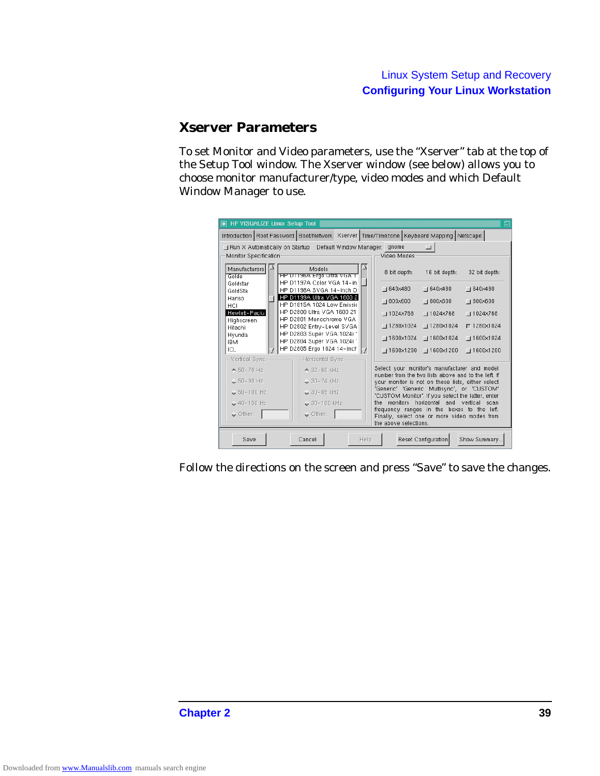# **Xserver Parameters**

To set Monitor and Video parameters, use the "Xserver" tab at the top of the Setup Tool window. The Xserver window (see below) allows you to choose monitor manufacturer/type, video modes and which Default Window Manager to use.

| I HP VISUALIZE Linux Setup Tool |                                                                                                     |                                                                                                     |                          | 凹                           |
|---------------------------------|-----------------------------------------------------------------------------------------------------|-----------------------------------------------------------------------------------------------------|--------------------------|-----------------------------|
|                                 | Introduction   Root Password   Boot/Network   Xserver   Time/Timezone   Keyboard Mapping   Netscape |                                                                                                     |                          |                             |
|                                 | □ Run X Automatically on Startup Default Window Manager: gnome                                      |                                                                                                     |                          |                             |
| Monitor Specification           |                                                                                                     | Video Modes                                                                                         |                          |                             |
| Manufacturers<br>Golde          | Models<br><b>HP DT196A Ergo Ultra VGA T</b><br>HP D1197A Color VGA 14-in                            | 8 bit depth:                                                                                        | 16 bit depth:            | 32 bit depth:               |
| Goldstar<br>GoldSta             | HP D1198A SVGA 14-inch D                                                                            | $1640\times480$                                                                                     | $\Box$ 640×480           | $\Box$ 640×480              |
| Hanso<br>HCL                    | HP D1199A Ultra VGA 1600 2<br>HP D1815A 1024 Low Emissic                                            | $1800\times 600$                                                                                    | $1800\times600$          | $\Box$ 800×600              |
| Hewlett-Packa                   | HP D2800 Ultra VGA 1600 21<br>HP D2801 Monochrome VGA                                               | $\Box$ 1024×768                                                                                     | $\Box$ 1024 $\times$ 768 | $1024\times768$             |
| Highscreen<br>Hitachi           | HP D2802 Entry-Level SVGA                                                                           | $\Box$ 1280x1024                                                                                    | $1280\times1024$         | $\Gamma$ 1280 $\times$ 1024 |
| Hvunda<br><b>IBM</b>            | HP D2803 Super VGA 1024i<br>HP D2804 Super VGA 1024i 1                                              | $1600\times1024$                                                                                    | $1600\times1024$         | $1600\times1024$            |
| ICL                             | HP D2805 Ergo 1024 14-inch                                                                          | $-1600\times1200$                                                                                   | $1600\times1200$         | $1600\times1200$            |
| Vertical Sync-                  | Horizontal Sync-                                                                                    |                                                                                                     |                          |                             |
| ← 50-70 Hz                      | ← 32-60 kHz                                                                                         | Select your monitor's manufacturer and model<br>number from the two lists above and to the left. If |                          |                             |
| $\ddot{\diamond}$ 50 - 90 Hz    | → 30-74 kHz                                                                                         | your monitor is not on these lists, either select                                                   |                          |                             |
| $\ddot{\phi}$ 50-100 Hz         | → 30-85 KHz                                                                                         | 'Generic' 'Generic Multisync', or 'CUSTOM'<br>'CUSTOM Monitor'. If you select the latter, enter     |                          |                             |
| $\leftrightarrow$ 40-150 Hz     | → 30-100 kHz                                                                                        | the monitors horizontal and vertical scan                                                           |                          |                             |
| $\Leftrightarrow$ Other:        | $\Diamond$ Other:                                                                                   | frequency ranges in the boxes to the left.<br>Finally, select one or more video modes from          |                          |                             |
|                                 |                                                                                                     | the above selections.                                                                               |                          |                             |
| Save                            | Cancel<br>Help                                                                                      |                                                                                                     | Reset Configuration      | Show Summary                |

Follow the directions on the screen and press "Save" to save the changes.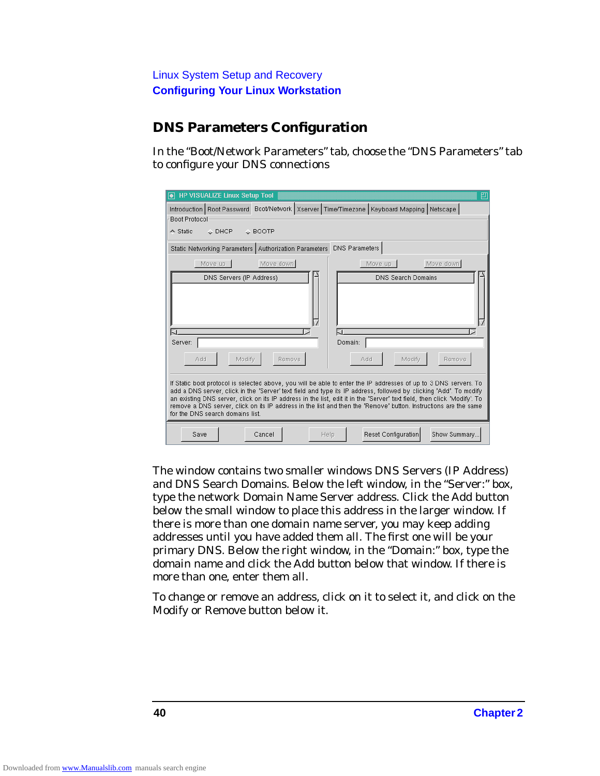#### Linux System Setup and Recovery **Configuring Your Linux Workstation**

## **DNS Parameters Configuration**

In the "Boot/Network Parameters" tab, choose the "DNS Parameters" tab to configure your DNS connections

| <b>HP VISUALIZE Linux Setup Tool</b>                                                                                                                                                                                                                                                                                                                                                                                                                                                                                                                                                       | 凹                                                               |  |  |
|--------------------------------------------------------------------------------------------------------------------------------------------------------------------------------------------------------------------------------------------------------------------------------------------------------------------------------------------------------------------------------------------------------------------------------------------------------------------------------------------------------------------------------------------------------------------------------------------|-----------------------------------------------------------------|--|--|
| Introduction   Root Password   Boot/Network   Xserver   Time/Timezone   Keyboard Mapping   Netscape  <br>Boot Protocol                                                                                                                                                                                                                                                                                                                                                                                                                                                                     |                                                                 |  |  |
| ∧ Static<br>$\Leftrightarrow$ DHCP<br>$\Diamond$ BOOTP                                                                                                                                                                                                                                                                                                                                                                                                                                                                                                                                     |                                                                 |  |  |
| Static Networking Parameters   Authorization Parameters DNS Parameters                                                                                                                                                                                                                                                                                                                                                                                                                                                                                                                     |                                                                 |  |  |
| Move down<br>Move up                                                                                                                                                                                                                                                                                                                                                                                                                                                                                                                                                                       | Move down<br>Move up                                            |  |  |
| DNS Servers (IP Address)<br>Server:<br>Modify<br>Remove<br>Add                                                                                                                                                                                                                                                                                                                                                                                                                                                                                                                             | <b>DNS Search Domains</b><br>Domain:<br>Modify<br>Remove<br>Add |  |  |
| If Static boot protocol is selected above, you will be able to enter the IP addresses of up to 3 DNS servers. To<br>add a DNS server, click in the 'Server' text field and type its IP address, followed by clicking 'Add'. To modify<br>an existing DNS server, click on its IP address in the list, edit it in the 'Server' text field, then click 'Modify'. To<br>remove a DNS server, click on its IP address in the list and then the 'Remove' button. Instructions are the same<br>for the DNS search domains list.<br>Cancel<br>Reset Configuration<br>Show Summary<br>Save<br>Help |                                                                 |  |  |

The window contains two smaller windows DNS Servers (IP Address) and DNS Search Domains. Below the left window, in the "Server:" box, type the network Domain Name Server address. Click the Add button below the small window to place this address in the larger window. If there is more than one domain name server, you may keep adding addresses until you have added them all. The first one will be your primary DNS. Below the right window, in the "Domain:" box, type the domain name and click the Add button below that window. If there is more than one, enter them all.

To change or remove an address, click on it to select it, and click on the Modify or Remove button below it.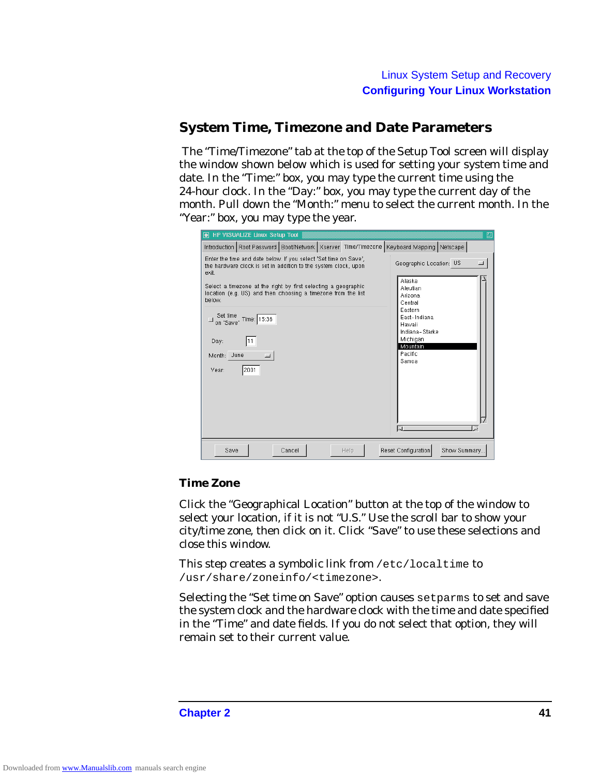# **System Time, Timezone and Date Parameters**

The "Time/Timezone" tab at the top of the Setup Tool screen will display the window shown below which is used for setting your system time and date. In the "Time:" box, you may type the current time using the 24-hour clock. In the "Day:" box, you may type the current day of the month. Pull down the "Month:" menu to select the current month. In the "Year:" box, you may type the year.

| I HP VISUALIZE Linux Setup Tool                                                                                                                                                                                                                                                                                                                                     | 凹                                                                                                                                                                      |
|---------------------------------------------------------------------------------------------------------------------------------------------------------------------------------------------------------------------------------------------------------------------------------------------------------------------------------------------------------------------|------------------------------------------------------------------------------------------------------------------------------------------------------------------------|
| Introduction   Root Password   Boot/Network   Xserver   Time/Timezone   Keyboard Mapping   Netscape                                                                                                                                                                                                                                                                 |                                                                                                                                                                        |
| Enter the time and date below. If you select 'Set time on Save',<br>the hardware clock is set in addition to the system clock, upon<br>exit.<br>Select a timezone at the right by first selecting a geographic<br>location (e.g. US) and then choosing a timezone from the list<br>below.<br>Set time<br>$\Box$ on 'Save', Time: 15:36<br>11<br>Day:<br>Month: June | Geographic Location: US<br>Alaska<br>Aleutian<br>Arizona<br>Central<br>Eastern<br>East-Indiana<br>Hawaii<br>Indiana-Starke<br>Michigan<br>Mountain<br>Pacific<br>Samoa |
| 2001<br>Year:                                                                                                                                                                                                                                                                                                                                                       | IJ                                                                                                                                                                     |
| Cancel<br>Save<br>Help                                                                                                                                                                                                                                                                                                                                              | Reset Configuration<br>Show Summary                                                                                                                                    |

#### **Time Zone**

Click the "Geographical Location" button at the top of the window to select your location, if it is not "U.S." Use the scroll bar to show your city/time zone, then click on it. Click "Save" to use these selections and close this window.

This step creates a symbolic link from /etc/localtime to /usr/share/zoneinfo/<timezone>.

Selecting the "Set time on Save" option causes setparms to set and save the system clock and the hardware clock with the time and date specified in the "Time" and date fields. If you do not select that option, they will remain set to their current value.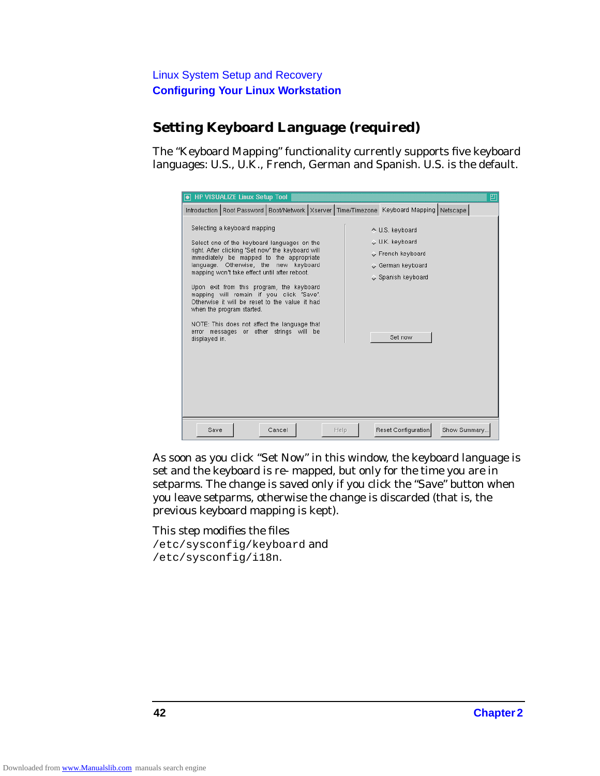# **Setting Keyboard Language (required)**

The "Keyboard Mapping" functionality currently supports five keyboard languages: U.S., U.K., French, German and Spanish. U.S. is the default.



As soon as you click "Set Now" in this window, the keyboard language is set and the keyboard is re- mapped, but only for the time you are in setparms. The change is saved only if you click the "Save" button when you leave setparms, otherwise the change is discarded (that is, the previous keyboard mapping is kept).

#### This step modifies the files

/etc/sysconfig/keyboard and /etc/sysconfig/i18n.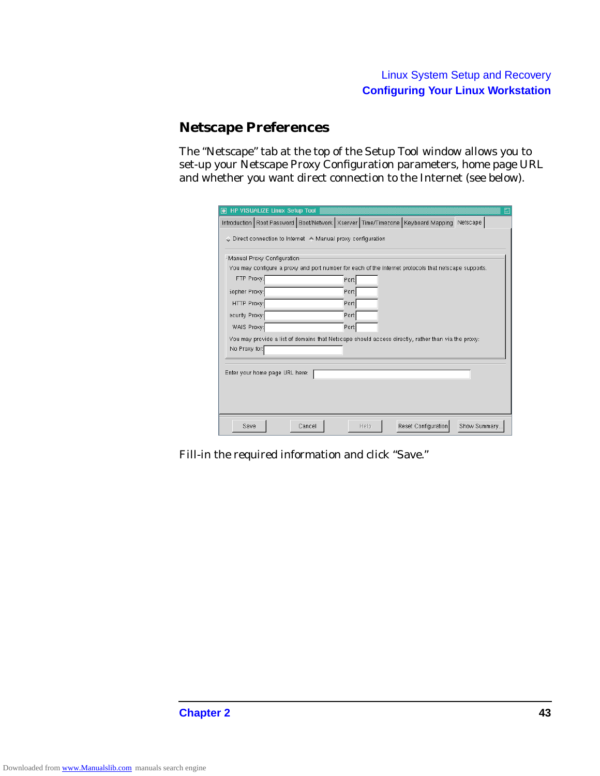# **Netscape Preferences**

The "Netscape" tab at the top of the Setup Tool window allows you to set-up your Netscape Proxy Configuration parameters, home page URL and whether you want direct connection to the Internet (see below).

| Manual Proxy Configuration<br>You may configure a proxy and port number for each of the internet protocols that netscape supports. |       |  |  |
|------------------------------------------------------------------------------------------------------------------------------------|-------|--|--|
| FTP Proxy:                                                                                                                         | Port: |  |  |
| sopher Proxy:                                                                                                                      | Port: |  |  |
| HTTP Proxy:                                                                                                                        | Port: |  |  |
| Bourity Proxy:                                                                                                                     | Port: |  |  |
| WAIS Proxy:                                                                                                                        | Port: |  |  |
| You may provide a list of domains that Netscape should access directly, rather than via the proxy:<br>No Proxy for:                |       |  |  |
|                                                                                                                                    |       |  |  |
| Enter your home page URL here:                                                                                                     |       |  |  |

Fill-in the required information and click "Save."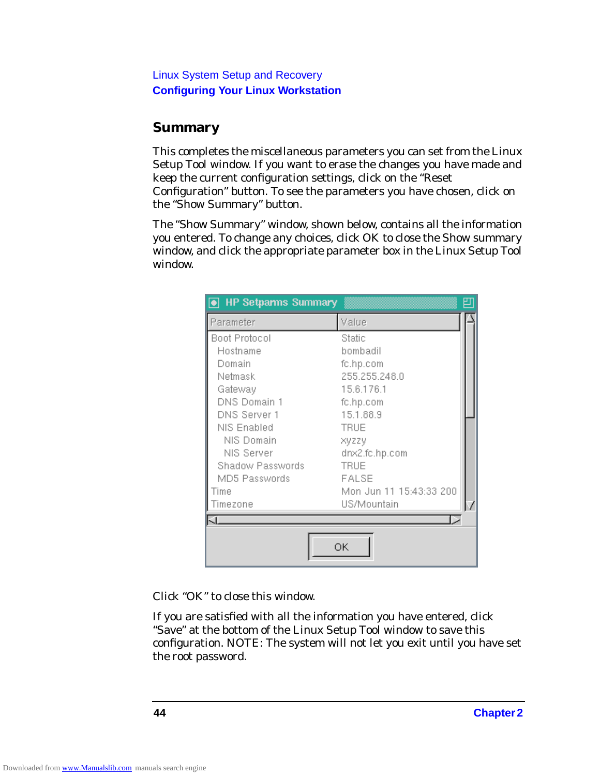#### Linux System Setup and Recovery **Configuring Your Linux Workstation**

## **Summary**

This completes the miscellaneous parameters you can set from the Linux Setup Tool window. If you want to erase the changes you have made and keep the current configuration settings, click on the "Reset Configuration" button. To see the parameters you have chosen, click on the "Show Summary" button.

The "Show Summary" window, shown below, contains all the information you entered. To change any choices, click OK to close the Show summary window, and click the appropriate parameter box in the Linux Setup Tool window.

| <b>HP Setparms Summary</b> |                         |  |
|----------------------------|-------------------------|--|
| Parameter                  | Value                   |  |
| Boot Protocol              | Static                  |  |
| Hostname                   | bombadil                |  |
| Domain                     | fc.hp.com               |  |
| Netmask                    | 255.255.248.0           |  |
| Gateway                    | 15.6.176.1              |  |
| DNS Domain 1               | fc.hp.com               |  |
| DNS Server 1               | 15.1.88.9               |  |
| NIS Enabled                | <b>TRUE</b>             |  |
| NIS Domain                 | xyzzy                   |  |
| NIS Server                 | dnx2.fc.hp.com          |  |
| Shadow Passwords           | <b>TRUE</b>             |  |
| MD5 Passwords              | FALSE                   |  |
| Time                       | Mon Jun 11 15:43:33 200 |  |
| Timezone                   | US/Mountain             |  |
|                            |                         |  |
|                            | ΟK.                     |  |

Click "OK" to close this window.

If you are satisfied with all the information you have entered, click "Save" at the bottom of the Linux Setup Tool window to save this configuration. NOTE: The system will not let you exit until you have set the root password.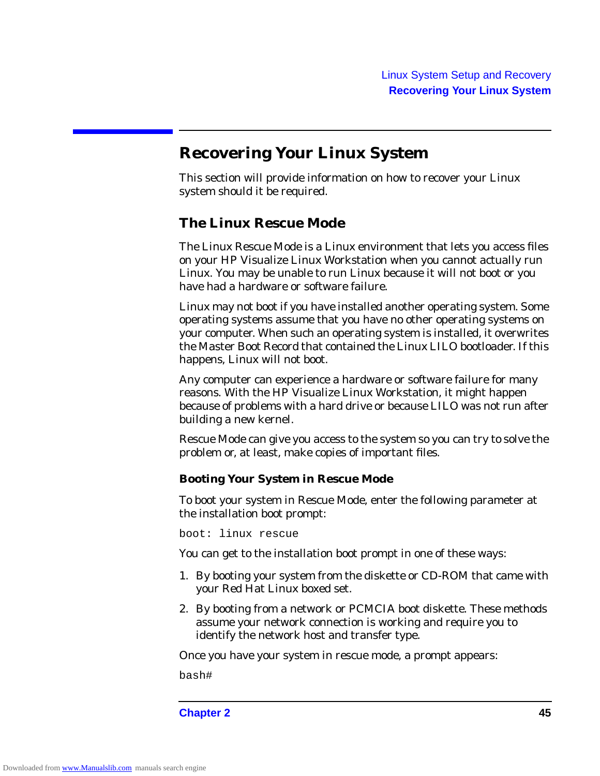# **Recovering Your Linux System**

This section will provide information on how to recover your Linux system should it be required.

# **The Linux Rescue Mode**

The Linux Rescue Mode is a Linux environment that lets you access files on your HP Visualize Linux Workstation when you cannot actually run Linux. You may be unable to run Linux because it will not boot or you have had a hardware or software failure.

Linux may not boot if you have installed another operating system. Some operating systems assume that you have no other operating systems on your computer. When such an operating system is installed, it overwrites the Master Boot Record that contained the Linux LILO bootloader. If this happens, Linux will not boot.

Any computer can experience a hardware or software failure for many reasons. With the HP Visualize Linux Workstation, it might happen because of problems with a hard drive or because LILO was not run after building a new kernel.

Rescue Mode can give you access to the system so you can try to solve the problem or, at least, make copies of important files.

#### **Booting Your System in Rescue Mode**

To boot your system in Rescue Mode, enter the following parameter at the installation boot prompt:

boot: linux rescue

You can get to the installation boot prompt in one of these ways:

- 1. By booting your system from the diskette or CD-ROM that came with your Red Hat Linux boxed set.
- 2. By booting from a network or PCMCIA boot diskette. These methods assume your network connection is working and require you to identify the network host and transfer type.

Once you have your system in rescue mode, a prompt appears:

bash#

**Chapter 2 45**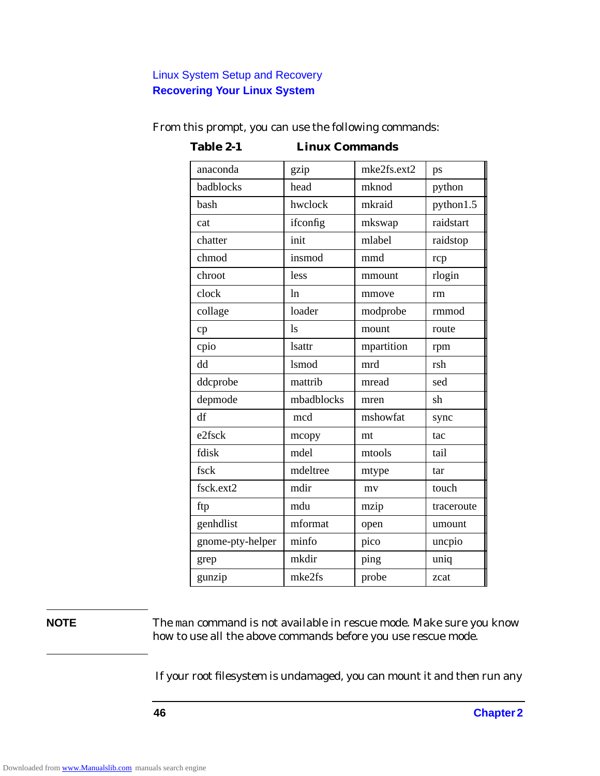#### Linux System Setup and Recovery **Recovering Your Linux System**

| Table 2-1        | <b>Linux Commands</b> |             |            |
|------------------|-----------------------|-------------|------------|
| anaconda         | gzip                  | mke2fs.ext2 | ps         |
| badblocks        | head                  | mknod       | python     |
| bash             | hwclock               | mkraid      | python1.5  |
| cat              | ifconfig              | mkswap      | raidstart  |
| chatter          | init                  | mlabel      | raidstop   |
| chmod            | insmod                | mmd         | rcp        |
| chroot           | less                  | mmount      | rlogin     |
| clock            | ln                    | mmove       | rm         |
| collage          | loader                | modprobe    | rmmod      |
| cp               | <sup>1s</sup>         | mount       | route      |
| cpio             | <b>lsattr</b>         | mpartition  | rpm        |
| dd               | <b>lsmod</b>          | mrd         | rsh        |
| ddcprobe         | mattrib               | mread       | sed        |
| depmode          | mbadblocks            | mren        | sh         |
| df               | mcd                   | mshowfat    | sync       |
| e2fsck           | mcopy                 | mt          | tac        |
| fdisk            | mdel                  | mtools      | tail       |
| fsck             | mdeltree              | mtype       | tar        |
| fsck.ext2        | mdir                  | mv          | touch      |
| ftp              | mdu                   | mzip        | traceroute |
| genhdlist        | mformat               | open        | umount     |
| gnome-pty-helper | minfo                 | pico        | uncpio     |
| grep             | mkdir                 | ping        | uniq       |
| gunzip           | mke2fs                | probe       | zcat       |

From this prompt, you can use the following commands:

**NOTE** The man command is not available in rescue mode. Make sure you know how to use all the above commands before you use rescue mode.

If your root filesystem is undamaged, you can mount it and then run any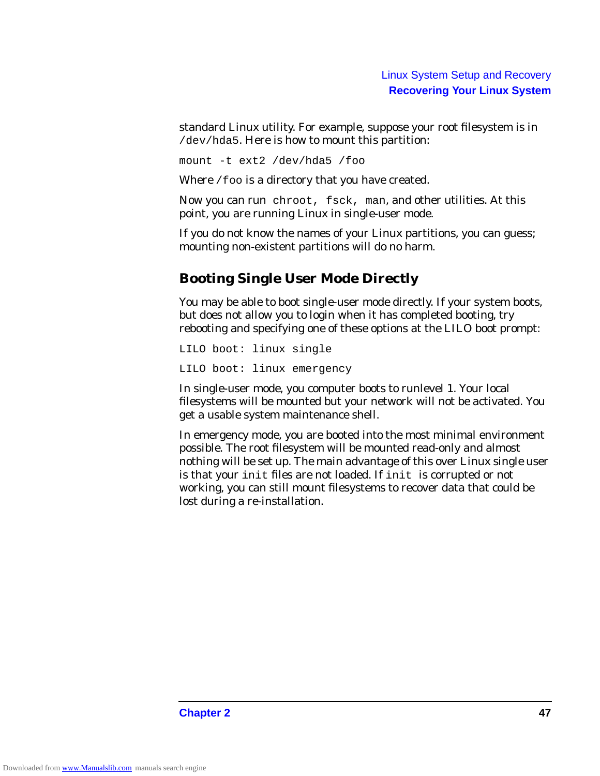standard Linux utility. For example, suppose your root filesystem is in /dev/hda5. Here is how to mount this partition:

mount -t ext2 /dev/hda5 /foo

Where / foo is a directory that you have created.

Now you can run chroot, fsck, man, and other utilities. At this point, you are running Linux in single-user mode.

If you do not know the names of your Linux partitions, you can guess; mounting non-existent partitions will do no harm.

# **Booting Single User Mode Directly**

You may be able to boot single-user mode directly. If your system boots, but does not allow you to login when it has completed booting, try rebooting and specifying one of these options at the LILO boot prompt:

LILO boot: linux single LILO boot: linux emergency

In single-user mode, you computer boots to runlevel 1. Your local filesystems will be mounted but your network will not be activated. You get a usable system maintenance shell.

In emergency mode, you are booted into the most minimal environment possible. The root filesystem will be mounted read-only and almost nothing will be set up. The main advantage of this over Linux single user is that your init files are not loaded. If init is corrupted or not working, you can still mount filesystems to recover data that could be lost during a re-installation.

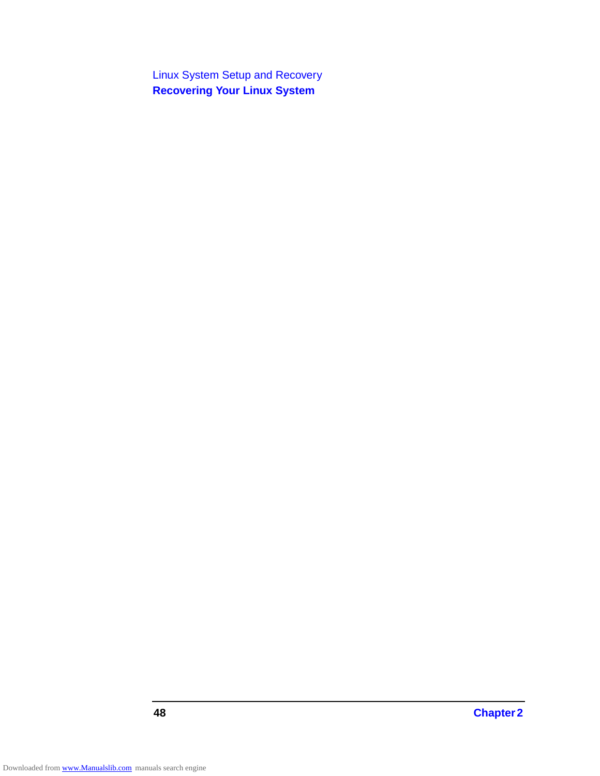Linux System Setup and Recovery **Recovering Your Linux System**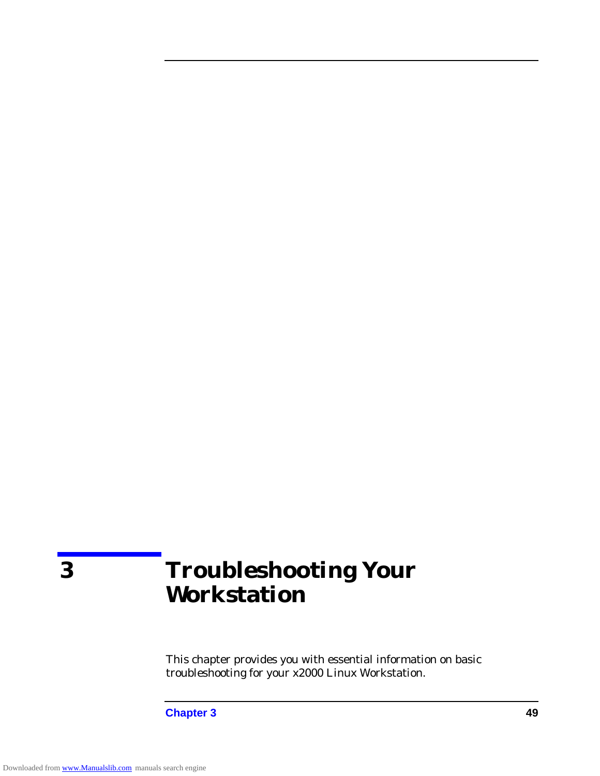# **3 Troubleshooting Your Workstation**

This chapter provides you with essential information on basic troubleshooting for your x2000 Linux Workstation.

**Chapter 3 49**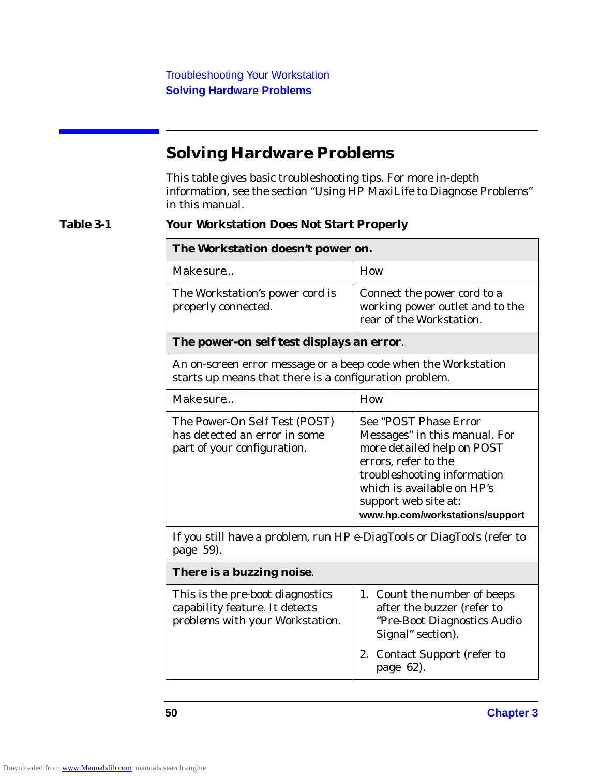|           | <b>Solving Hardware Problems</b>                                                                                                                           |                                                                                                                                                                                                                                             |  |  |
|-----------|------------------------------------------------------------------------------------------------------------------------------------------------------------|---------------------------------------------------------------------------------------------------------------------------------------------------------------------------------------------------------------------------------------------|--|--|
|           | This table gives basic troubleshooting tips. For more in-depth<br>information, see the section "Using HP MaxiLife to Diagnose Problems"<br>in this manual. |                                                                                                                                                                                                                                             |  |  |
| Table 3-1 | <b>Your Workstation Does Not Start Properly</b>                                                                                                            |                                                                                                                                                                                                                                             |  |  |
|           | The Workstation doesn't power on.                                                                                                                          |                                                                                                                                                                                                                                             |  |  |
|           | Make sure                                                                                                                                                  | <b>How</b>                                                                                                                                                                                                                                  |  |  |
|           | The Workstation's power cord is<br>properly connected.                                                                                                     | Connect the power cord to a<br>working power outlet and to the<br>rear of the Workstation.                                                                                                                                                  |  |  |
|           | The power-on self test displays an error.                                                                                                                  |                                                                                                                                                                                                                                             |  |  |
|           | An on-screen error message or a beep code when the Workstation<br>starts up means that there is a configuration problem.                                   |                                                                                                                                                                                                                                             |  |  |
|           | Make sure                                                                                                                                                  | <b>How</b>                                                                                                                                                                                                                                  |  |  |
|           | The Power-On Self Test (POST)<br>has detected an error in some<br>part of your configuration.                                                              | <b>See "POST Phase Error</b><br>Messages" in this manual. For<br>more detailed help on POST<br>errors, refer to the<br>troubleshooting information<br>which is available on HP's<br>support web site at:<br>www.hp.com/workstations/support |  |  |
|           | If you still have a problem, run HP e-DiagTools or DiagTools (refer to<br>page 59).                                                                        |                                                                                                                                                                                                                                             |  |  |
|           | There is a buzzing noise.                                                                                                                                  |                                                                                                                                                                                                                                             |  |  |
|           | This is the pre-boot diagnostics<br>capability feature. It detects<br>problems with your Workstation.                                                      | 1. Count the number of beeps<br>after the buzzer (refer to<br>"Pre-Boot Diagnostics Audio<br>Signal" section).<br>2. Contact Support (refer to<br>page 62).                                                                                 |  |  |
|           |                                                                                                                                                            |                                                                                                                                                                                                                                             |  |  |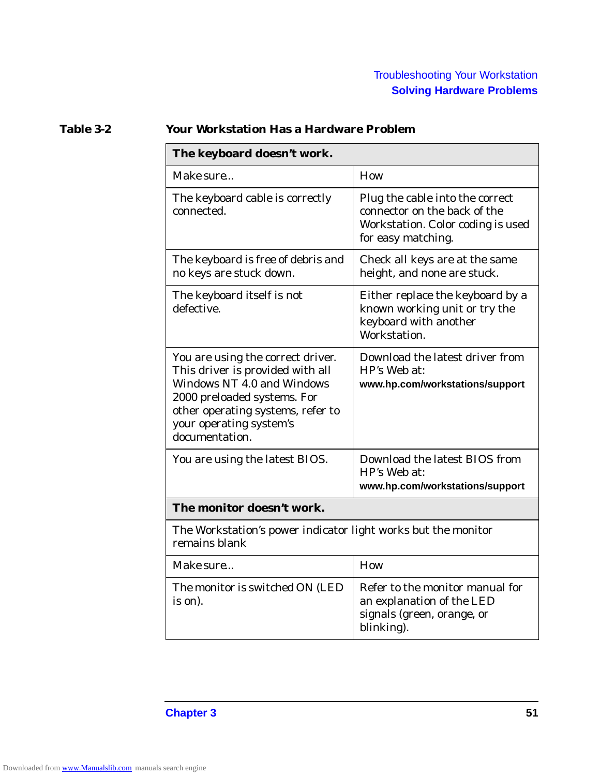### Troubleshooting Your Workstation **Solving Hardware Problems**

#### **Table 3-2 Your Workstation Has a Hardware Problem**

| The keyboard doesn't work.                                                                                                                                                                                                  |                                                                                                                            |  |
|-----------------------------------------------------------------------------------------------------------------------------------------------------------------------------------------------------------------------------|----------------------------------------------------------------------------------------------------------------------------|--|
| Make sure                                                                                                                                                                                                                   | How                                                                                                                        |  |
| The keyboard cable is correctly<br>connected.                                                                                                                                                                               | Plug the cable into the correct<br>connector on the back of the<br>Workstation. Color coding is used<br>for easy matching. |  |
| The keyboard is free of debris and<br>no keys are stuck down.                                                                                                                                                               | Check all keys are at the same<br>height, and none are stuck.                                                              |  |
| The keyboard itself is not<br>defective.                                                                                                                                                                                    | Either replace the keyboard by a<br>known working unit or try the<br>keyboard with another<br>Workstation.                 |  |
| You are using the correct driver.<br>This driver is provided with all<br><b>Windows NT 4.0 and Windows</b><br>2000 preloaded systems. For<br>other operating systems, refer to<br>your operating system's<br>documentation. | Download the latest driver from<br>HP's Web at:<br>www.hp.com/workstations/support                                         |  |
| You are using the latest BIOS.                                                                                                                                                                                              | Download the latest BIOS from<br>HP's Web at:<br>www.hp.com/workstations/support                                           |  |
| The monitor doesn't work.                                                                                                                                                                                                   |                                                                                                                            |  |
| The Workstation's power indicator light works but the monitor<br>remains blank                                                                                                                                              |                                                                                                                            |  |
| Make sure                                                                                                                                                                                                                   | How                                                                                                                        |  |
| The monitor is switched ON (LED<br>is on).                                                                                                                                                                                  | Refer to the monitor manual for<br>an explanation of the LED<br>signals (green, orange, or<br>blinking).                   |  |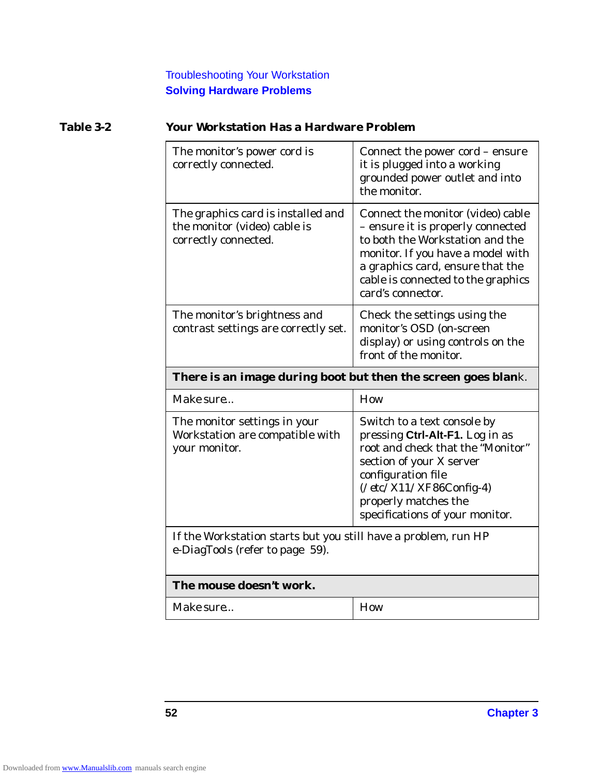# Troubleshooting Your Workstation **Solving Hardware Problems**

| The monitor's power cord is<br>correctly connected.                                               | Connect the power cord – ensure<br>it is plugged into a working<br>grounded power outlet and into<br>the monitor.                                                                                                                                             |
|---------------------------------------------------------------------------------------------------|---------------------------------------------------------------------------------------------------------------------------------------------------------------------------------------------------------------------------------------------------------------|
| The graphics card is installed and<br>the monitor (video) cable is<br>correctly connected.        | Connect the monitor (video) cable<br>- ensure it is properly connected<br>to both the Workstation and the<br>monitor. If you have a model with<br>a graphics card, ensure that the<br>cable is connected to the graphics<br>card's connector.                 |
| The monitor's brightness and<br>contrast settings are correctly set.                              | Check the settings using the<br>monitor's OSD (on-screen<br>display) or using controls on the<br>front of the monitor.                                                                                                                                        |
| There is an image during boot but then the screen goes blank.                                     |                                                                                                                                                                                                                                                               |
| Make sure                                                                                         | How                                                                                                                                                                                                                                                           |
| The monitor settings in your<br>Workstation are compatible with<br>your monitor.                  | Switch to a text console by<br>pressing Ctrl-Alt-F1. Log in as<br>root and check that the "Monitor"<br>section of your X server<br>configuration file<br>$(\text{\textit{/etc}}/X11/XF86Config-4)$<br>properly matches the<br>specifications of your monitor. |
| If the Workstation starts but you still have a problem, run HP<br>e-DiagTools (refer to page 59). |                                                                                                                                                                                                                                                               |
| The mouse doesn't work.                                                                           |                                                                                                                                                                                                                                                               |
| Make sure                                                                                         | How                                                                                                                                                                                                                                                           |

#### **Table 3-2 Your Workstation Has a Hardware Problem**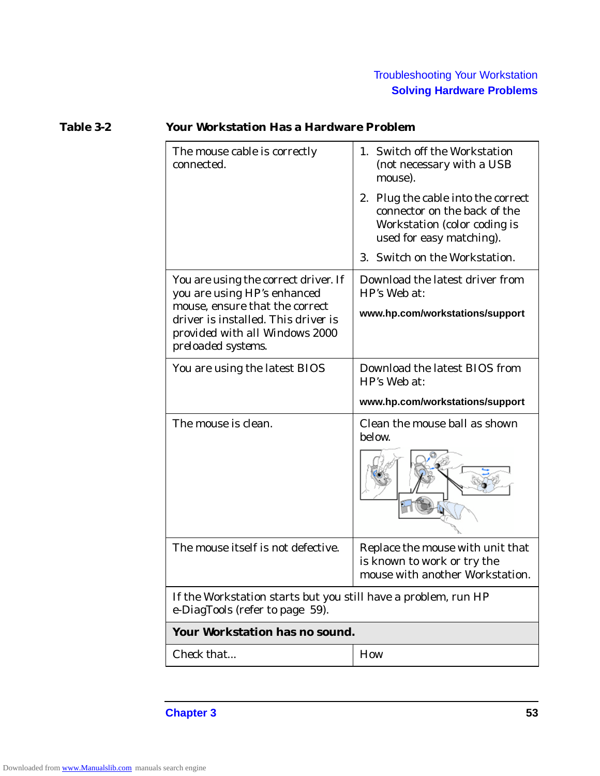| The mouse cable is correctly<br>connected.                                                                                    | 1. Switch off the Workstation<br>(not necessary with a USB<br>mouse).                                                          |
|-------------------------------------------------------------------------------------------------------------------------------|--------------------------------------------------------------------------------------------------------------------------------|
|                                                                                                                               | 2. Plug the cable into the correct<br>connector on the back of the<br>Workstation (color coding is<br>used for easy matching). |
|                                                                                                                               | 3. Switch on the Workstation.                                                                                                  |
| You are using the correct driver. If<br>you are using HP's enhanced                                                           | Download the latest driver from<br>HP's Web at:                                                                                |
| mouse, ensure that the correct<br>driver is installed. This driver is<br>provided with all Windows 2000<br>preloaded systems. | www.hp.com/workstations/support                                                                                                |
| You are using the latest BIOS                                                                                                 | Download the latest BIOS from<br>HP's Web at:                                                                                  |
|                                                                                                                               | www.hp.com/workstations/support                                                                                                |
| The mouse is clean.                                                                                                           | Clean the mouse ball as shown<br>below.                                                                                        |
|                                                                                                                               |                                                                                                                                |
| The mouse itself is not defective.                                                                                            | Replace the mouse with unit that<br>is known to work or try the<br>mouse with another Workstation.                             |
| If the Workstation starts but you still have a problem, run HP<br>e-DiagTools (refer to page 59).                             |                                                                                                                                |
| Your Workstation has no sound.                                                                                                |                                                                                                                                |
| Check that                                                                                                                    | How                                                                                                                            |
|                                                                                                                               |                                                                                                                                |

# **Table 3-2 Your Workstation Has a Hardware Problem**

**Chapter 3 53**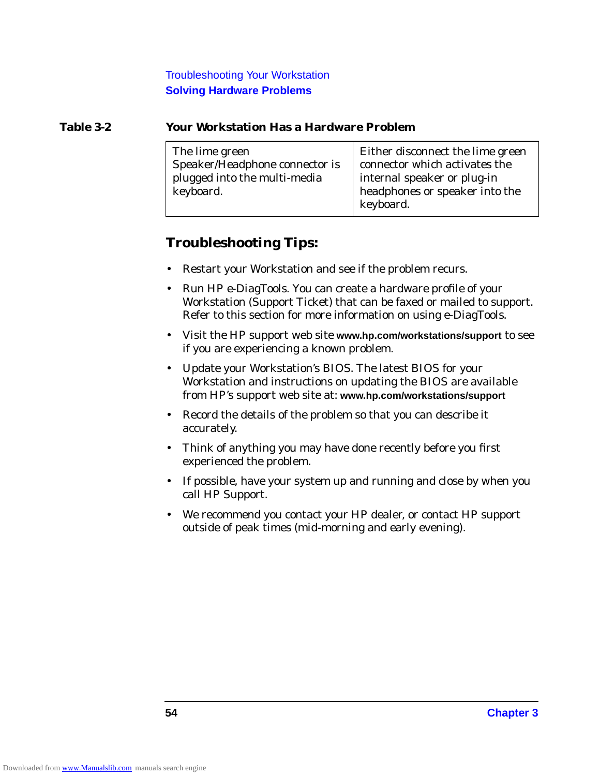## Troubleshooting Your Workstation **Solving Hardware Problems**

#### **Table 3-2 Your Workstation Has a Hardware Problem**

| The lime green                 | Either disconnect the lime green |
|--------------------------------|----------------------------------|
| Speaker/Headphone connector is | connector which activates the    |
| plugged into the multi-media   | internal speaker or plug-in      |
| keyboard.                      | headphones or speaker into the   |
|                                | keyboard.                        |

# **Troubleshooting Tips:**

- Restart your Workstation and see if the problem recurs.
- Run HP e-DiagTools. You can create a hardware profile of your Workstation (Support Ticket) that can be faxed or mailed to support. Refer to this section for more information on using e-DiagTools.
- Visit the HP support web site **www.hp.com/workstations/support** to see if you are experiencing a known problem.
- Update your Workstation's BIOS. The latest BIOS for your Workstation and instructions on updating the BIOS are available from HP's support web site at: **www.hp.com/workstations/support**
- Record the details of the problem so that you can describe it accurately.
- Think of anything you may have done recently before you first experienced the problem.
- If possible, have your system up and running and close by when you call HP Support.
- We recommend you contact your HP dealer, or contact HP support outside of peak times (mid-morning and early evening).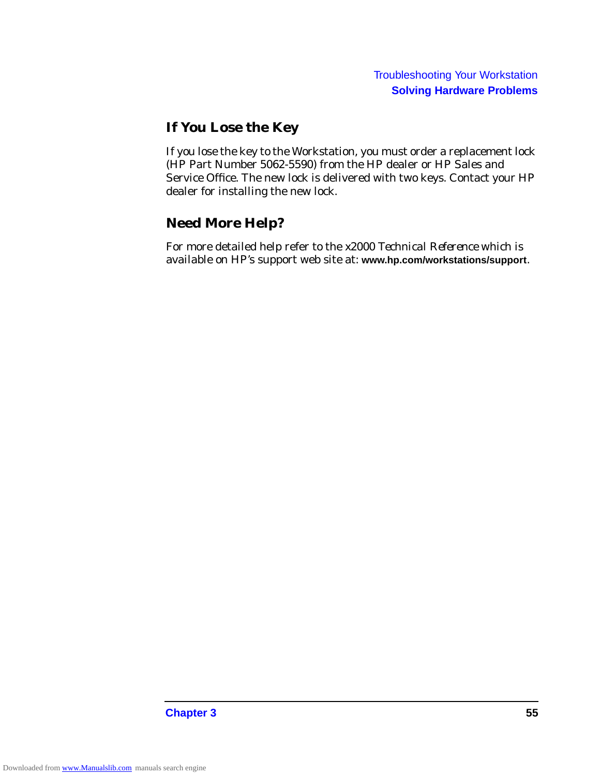# **If You Lose the Key**

If you lose the key to the Workstation, you must order a replacement lock (HP Part Number 5062-5590) from the HP dealer or HP Sales and Service Office. The new lock is delivered with two keys. Contact your HP dealer for installing the new lock.

# **Need More Help?**

For more detailed help refer to the *x2000 Technical Reference* which is available on HP's support web site at: **www.hp.com/workstations/support**.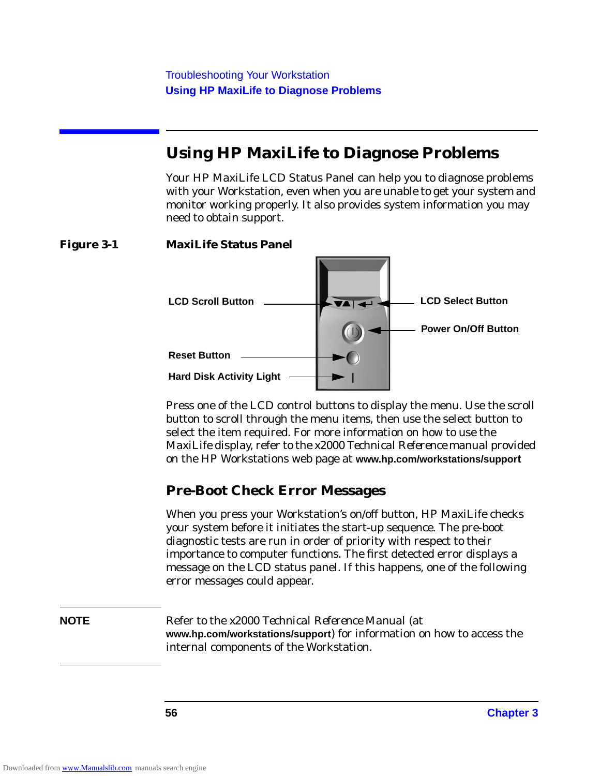# **Using HP MaxiLife to Diagnose Problems**

Your HP MaxiLife LCD Status Panel can help you to diagnose problems with your Workstation, even when you are unable to get your system and monitor working properly. It also provides system information you may need to obtain support.



Press one of the LCD control buttons to display the menu. Use the scroll button to scroll through the menu items, then use the select button to select the item required. For more information on how to use the MaxiLife display, refer to the *x2000 Technical Reference* manual provided on the HP Workstations web page at **www.hp.com/workstations/support**

# **Pre-Boot Check Error Messages**

When you press your Workstation's on/off button, HP MaxiLife checks your system before it initiates the start-up sequence. The pre-boot diagnostic tests are run in order of priority with respect to their importance to computer functions. The first detected error displays a message on the LCD status panel. If this happens, one of the following error messages could appear.

**NOTE** Refer to the *x2000 Technical Reference Manual* (at **www.hp.com/workstations/support**) for information on how to access the internal components of the Workstation.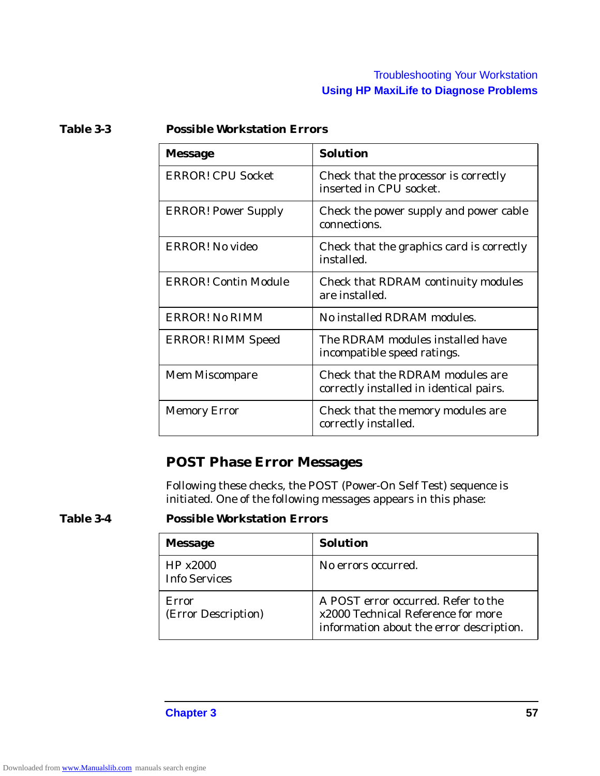#### Troubleshooting Your Workstation **Using HP MaxiLife to Diagnose Problems**

| <b>Message</b>              | <b>Solution</b>                                                             |
|-----------------------------|-----------------------------------------------------------------------------|
| <b>ERROR! CPU Socket</b>    | Check that the processor is correctly<br>inserted in CPU socket.            |
| <b>ERROR!</b> Power Supply  | Check the power supply and power cable<br>connections.                      |
| ERROR! No video             | Check that the graphics card is correctly<br>installed.                     |
| <b>ERROR!</b> Contin Module | <b>Check that RDRAM continuity modules</b><br>are installed.                |
| <b>ERROR! No RIMM</b>       | No installed RDRAM modules.                                                 |
| <b>ERROR! RIMM Speed</b>    | The RDRAM modules installed have<br>incompatible speed ratings.             |
| <b>Mem Miscompare</b>       | Check that the RDRAM modules are<br>correctly installed in identical pairs. |
| <b>Memory Error</b>         | Check that the memory modules are<br>correctly installed.                   |

#### **Table 3-3 Possible Workstation Errors**

## **POST Phase Error Messages**

Following these checks, the POST (Power-On Self Test) sequence is initiated. One of the following messages appears in this phase:

#### **Table 3-4 Possible Workstation Errors**

| <b>Message</b>                      | <b>Solution</b>                                                                                                       |
|-------------------------------------|-----------------------------------------------------------------------------------------------------------------------|
| HP x2000<br><b>Info Services</b>    | No errors occurred.                                                                                                   |
| <b>Error</b><br>(Error Description) | A POST error occurred. Refer to the<br>x2000 Technical Reference for more<br>information about the error description. |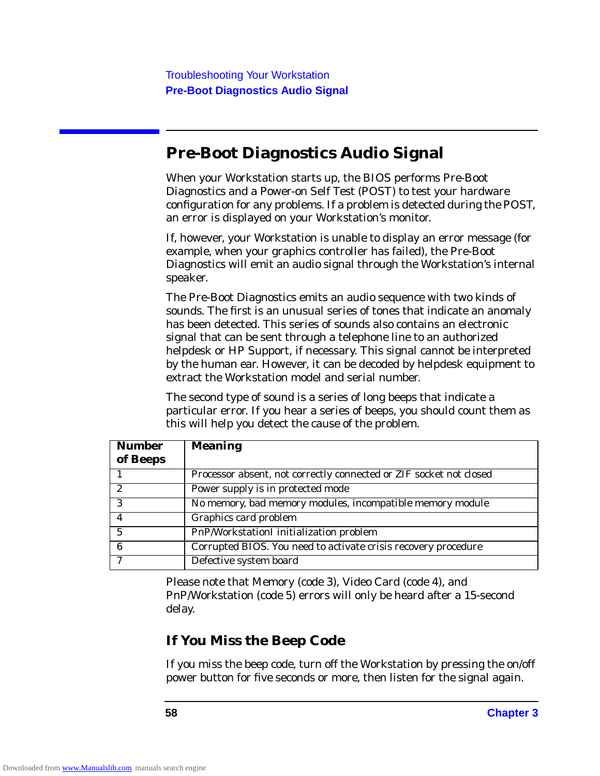Troubleshooting Your Workstation **Pre-Boot Diagnostics Audio Signal**

# **Pre-Boot Diagnostics Audio Signal**

When your Workstation starts up, the BIOS performs Pre-Boot Diagnostics and a Power-on Self Test (POST) to test your hardware configuration for any problems. If a problem is detected during the POST, an error is displayed on your Workstation's monitor.

If, however, your Workstation is unable to display an error message (for example, when your graphics controller has failed), the Pre-Boot Diagnostics will emit an audio signal through the Workstation's internal speaker.

The Pre-Boot Diagnostics emits an audio sequence with two kinds of sounds. The first is an unusual series of tones that indicate an anomaly has been detected. This series of sounds also contains an electronic signal that can be sent through a telephone line to an authorized helpdesk or HP Support, if necessary. This signal cannot be interpreted by the human ear. However, it can be decoded by helpdesk equipment to extract the Workstation model and serial number.

The second type of sound is a series of long beeps that indicate a particular error. If you hear a series of beeps, you should count them as this will help you detect the cause of the problem.

| <b>Number</b> | <b>Meaning</b>                                                     |
|---------------|--------------------------------------------------------------------|
| of Beeps      |                                                                    |
|               | Processor absent, not correctly connected or ZIF socket not closed |
| $\mathbf{2}$  | Power supply is in protected mode                                  |
| 3             | No memory, bad memory modules, incompatible memory module          |
| 4             | Graphics card problem                                              |
| 5             | PnP/WorkstationI initialization problem                            |
| 6             | Corrupted BIOS. You need to activate crisis recovery procedure     |
|               | Defective system board                                             |

Please note that Memory (code 3), Video Card (code 4), and PnP/Workstation (code 5) errors will only be heard after a 15-second delay.

# **If You Miss the Beep Code**

If you miss the beep code, turn off the Workstation by pressing the on/off power button for five seconds or more, then listen for the signal again.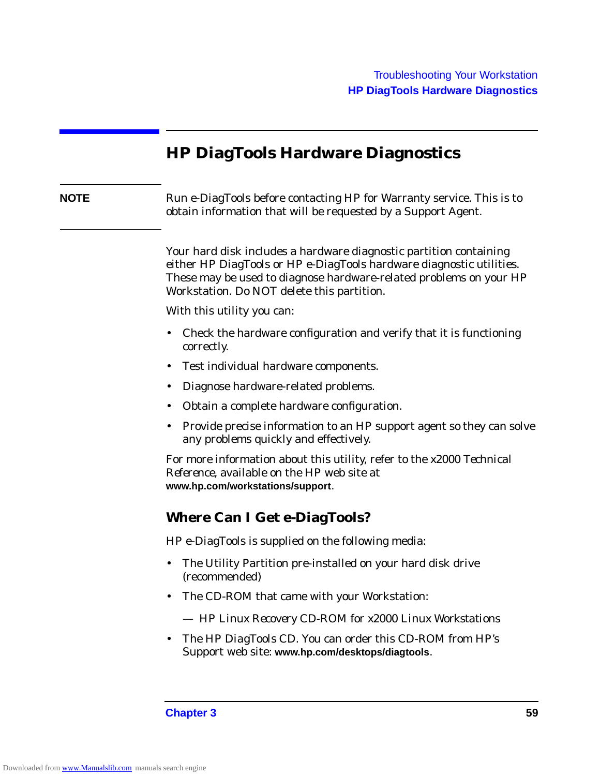|             | <b>HP DiagTools Hardware Diagnostics</b>                                                                                                                                                                                                                       |  |  |  |  |  |  |  |  |
|-------------|----------------------------------------------------------------------------------------------------------------------------------------------------------------------------------------------------------------------------------------------------------------|--|--|--|--|--|--|--|--|
| <b>NOTE</b> | Run e-DiagTools before contacting HP for Warranty service. This is to<br>obtain information that will be requested by a Support Agent.                                                                                                                         |  |  |  |  |  |  |  |  |
|             | Your hard disk includes a hardware diagnostic partition containing<br>either HP DiagTools or HP e-DiagTools hardware diagnostic utilities.<br>These may be used to diagnose hardware-related problems on your HP<br>Workstation. Do NOT delete this partition. |  |  |  |  |  |  |  |  |
|             | With this utility you can:                                                                                                                                                                                                                                     |  |  |  |  |  |  |  |  |
|             | Check the hardware configuration and verify that it is functioning<br>correctly.                                                                                                                                                                               |  |  |  |  |  |  |  |  |
|             | • Test individual hardware components.                                                                                                                                                                                                                         |  |  |  |  |  |  |  |  |
|             | Diagnose hardware-related problems.                                                                                                                                                                                                                            |  |  |  |  |  |  |  |  |
|             | Obtain a complete hardware configuration.<br>$\bullet$                                                                                                                                                                                                         |  |  |  |  |  |  |  |  |
|             | Provide precise information to an HP support agent so they can solve<br>any problems quickly and effectively.                                                                                                                                                  |  |  |  |  |  |  |  |  |
|             | For more information about this utility, refer to the x2000 Technical<br>Reference, available on the HP web site at<br>www.hp.com/workstations/support.                                                                                                        |  |  |  |  |  |  |  |  |
|             | <b>Where Can I Get e-DiagTools?</b>                                                                                                                                                                                                                            |  |  |  |  |  |  |  |  |
|             | HP e-DiagTools is supplied on the following media:                                                                                                                                                                                                             |  |  |  |  |  |  |  |  |
|             | The Utility Partition pre-installed on your hard disk drive<br>(recommended)                                                                                                                                                                                   |  |  |  |  |  |  |  |  |
|             | The CD-ROM that came with your Workstation:                                                                                                                                                                                                                    |  |  |  |  |  |  |  |  |
|             | - HP Linux Recovery CD-ROM for x2000 Linux Workstations                                                                                                                                                                                                        |  |  |  |  |  |  |  |  |
|             | The HP DiagTools CD. You can order this CD-ROM from HP's<br>Support web site: www.hp.com/desktops/diagtools.                                                                                                                                                   |  |  |  |  |  |  |  |  |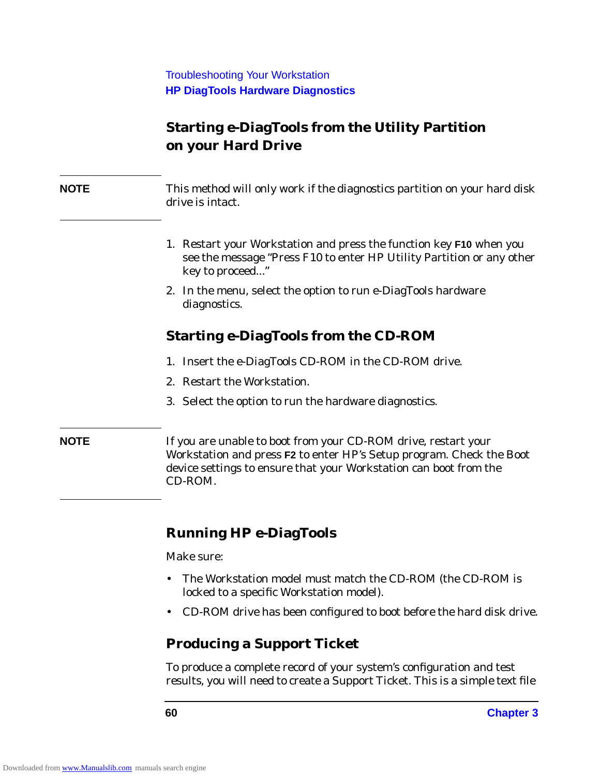#### Troubleshooting Your Workstation **HP DiagTools Hardware Diagnostics**

# **Starting e-DiagTools from the Utility Partition on your Hard Drive**

| 1. Restart your Workstation and press the function key F10 when you<br>see the message "Press F10 to enter HP Utility Partition or any other<br>2. In the menu, select the option to run e-DiagTools hardware<br><b>Starting e-DiagTools from the CD-ROM</b> |  |  |  |  |  |  |  |
|--------------------------------------------------------------------------------------------------------------------------------------------------------------------------------------------------------------------------------------------------------------|--|--|--|--|--|--|--|
|                                                                                                                                                                                                                                                              |  |  |  |  |  |  |  |
|                                                                                                                                                                                                                                                              |  |  |  |  |  |  |  |
|                                                                                                                                                                                                                                                              |  |  |  |  |  |  |  |
| 1. Insert the e-DiagTools CD-ROM in the CD-ROM drive.                                                                                                                                                                                                        |  |  |  |  |  |  |  |
| 2. Restart the Workstation.                                                                                                                                                                                                                                  |  |  |  |  |  |  |  |
| 3. Select the option to run the hardware diagnostics.                                                                                                                                                                                                        |  |  |  |  |  |  |  |
| If you are unable to boot from your CD-ROM drive, restart your<br>Workstation and press F2 to enter HP's Setup program. Check the Boot<br>device settings to ensure that your Workstation can boot from the                                                  |  |  |  |  |  |  |  |
|                                                                                                                                                                                                                                                              |  |  |  |  |  |  |  |

# **Running HP e-DiagTools**

Make sure:

- The Workstation model must match the CD-ROM (the CD-ROM is locked to a specific Workstation model).
- CD-ROM drive has been configured to boot before the hard disk drive.

# **Producing a Support Ticket**

To produce a complete record of your system's configuration and test results, you will need to create a Support Ticket. This is a simple text file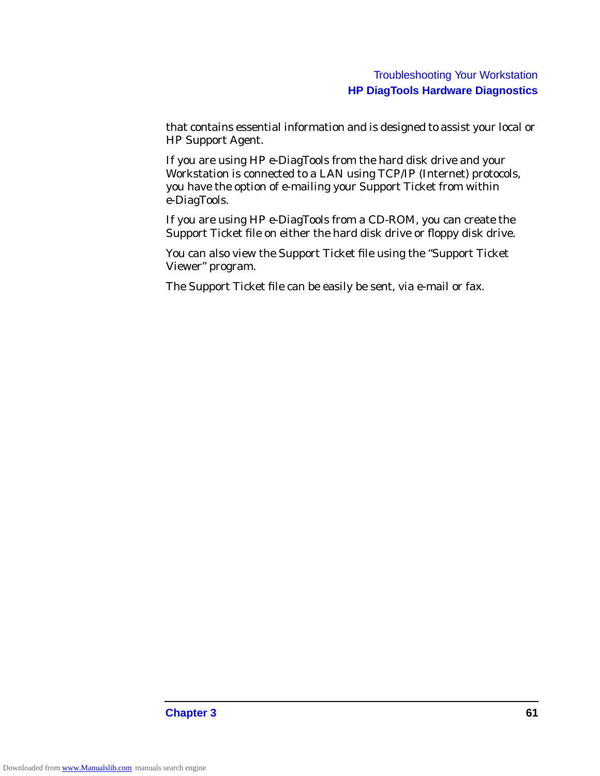#### Troubleshooting Your Workstation **HP DiagTools Hardware Diagnostics**

that contains essential information and is designed to assist your local or HP Support Agent.

If you are using HP e-DiagTools from the hard disk drive and your Workstation is connected to a LAN using TCP/IP (Internet) protocols, you have the option of e-mailing your Support Ticket from within e-DiagTools.

If you are using HP e-DiagTools from a CD-ROM, you can create the Support Ticket file on either the hard disk drive or floppy disk drive.

You can also view the Support Ticket file using the "Support Ticket Viewer" program.

The Support Ticket file can be easily be sent, via e-mail or fax.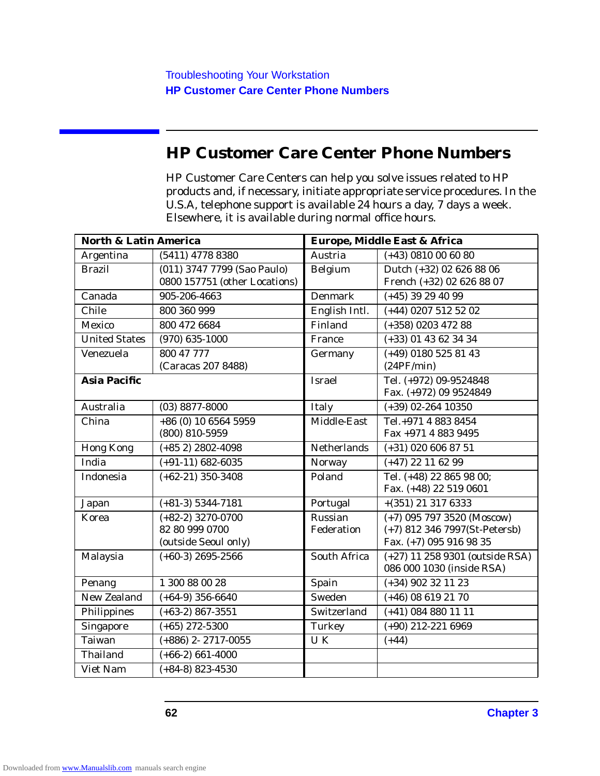# **HP Customer Care Center Phone Numbers**

HP Customer Care Centers can help you solve issues related to HP products and, if necessary, initiate appropriate service procedures. In the U.S.A, telephone support is available 24 hours a day, 7 days a week. Elsewhere, it is available during normal office hours.

| <b>North &amp; Latin America</b> |                               | Europe, Middle East & Africa |                                   |  |  |  |
|----------------------------------|-------------------------------|------------------------------|-----------------------------------|--|--|--|
| Argentina                        | (5411) 4778 8380              | Austria                      | $(+43)$ 0810 00 60 80             |  |  |  |
| <b>Brazil</b>                    | (011) 3747 7799 (Sao Paulo)   | Belgium                      | Dutch (+32) 02 626 88 06          |  |  |  |
|                                  | 0800 157751 (other Locations) |                              | French (+32) 02 626 88 07         |  |  |  |
| Canada                           | 905-206-4663                  | <b>Denmark</b>               | $(+45)$ 39 29 40 99               |  |  |  |
| Chile                            | 800 360 999                   | English Intl.                | $(+44)$ 0207 512 52 02            |  |  |  |
| Mexico                           | 800 472 6684                  | Finland                      | $(+358)$ 0203 472 88              |  |  |  |
| <b>United States</b>             | $(970) 635 - 1000$            | France                       | $(+33)$ 01 43 62 34 34            |  |  |  |
| Venezuela                        | 800 47 777                    | Germany                      | $(+49)$ 0180 525 81 43            |  |  |  |
|                                  | (Caracas 207 8488)            |                              | (24PF/min)                        |  |  |  |
| <b>Asia Pacific</b>              |                               | <b>Israel</b>                | Tel. (+972) 09-9524848            |  |  |  |
|                                  |                               |                              | Fax. (+972) 09 9524849            |  |  |  |
| Australia                        | $(03)$ 8877-8000              | Italy                        | $(+39)$ 02-264 10350              |  |  |  |
| China                            | +86 (0) 10 6564 5959          | Middle-East                  | Tel.+971 4 883 8454               |  |  |  |
|                                  | (800) 810-5959                |                              | Fax +971 4 883 9495               |  |  |  |
| <b>Hong Kong</b>                 | $(+852)$ 2802-4098            | <b>Netherlands</b>           | $(+31)$ 020 606 87 51             |  |  |  |
| India                            | $(+91-11)$ 682-6035           | Norway                       | $(+47)$ 22 11 62 99               |  |  |  |
| Indonesia                        | $(+62-21)$ 350-3408           | Poland                       | Tel. (+48) 22 865 98 00;          |  |  |  |
|                                  |                               |                              | Fax. (+48) 22 519 0601            |  |  |  |
| Japan                            | $(+81-3)$ 5344-7181           | Portugal                     | $+(351)$ 21 317 6333              |  |  |  |
| Korea                            | $(+82-2)$ 3270-0700           | Russian                      | $(+7)$ 095 797 3520 (Moscow)      |  |  |  |
|                                  | 82 80 999 0700                | Federation                   | (+7) 812 346 7997(St-Petersb)     |  |  |  |
|                                  | (outside Seoul only)          |                              | Fax. (+7) 095 916 98 35           |  |  |  |
| Malaysia                         | $(+60-3)$ 2695-2566           | <b>South Africa</b>          | $(+27)$ 11 258 9301 (outside RSA) |  |  |  |
|                                  |                               |                              | 086 000 1030 (inside RSA)         |  |  |  |
| Penang                           | 1 300 88 00 28                | Spain                        | $(+34)$ 902 32 11 23              |  |  |  |
| <b>New Zealand</b>               | $(+64-9)$ 356-6640            | Sweden                       | $(+46)$ 08 619 21 70              |  |  |  |
| Philippines                      | $(+63-2)$ 867-3551            | Switzerland                  | $(+41)$ 084 880 11 11             |  |  |  |
| Singapore                        | $(+65)$ 272-5300              | <b>Turkey</b>                | $(+90)$ 212-221 6969              |  |  |  |
| <b>Taiwan</b>                    | $(+886)$ 2-2717-0055          | $\overline{U K}$             | $(+44)$                           |  |  |  |
| <b>Thailand</b>                  | $(+66-2)$ 661-4000            |                              |                                   |  |  |  |
| <b>Viet Nam</b>                  | $(+84-8)$ 823-4530            |                              |                                   |  |  |  |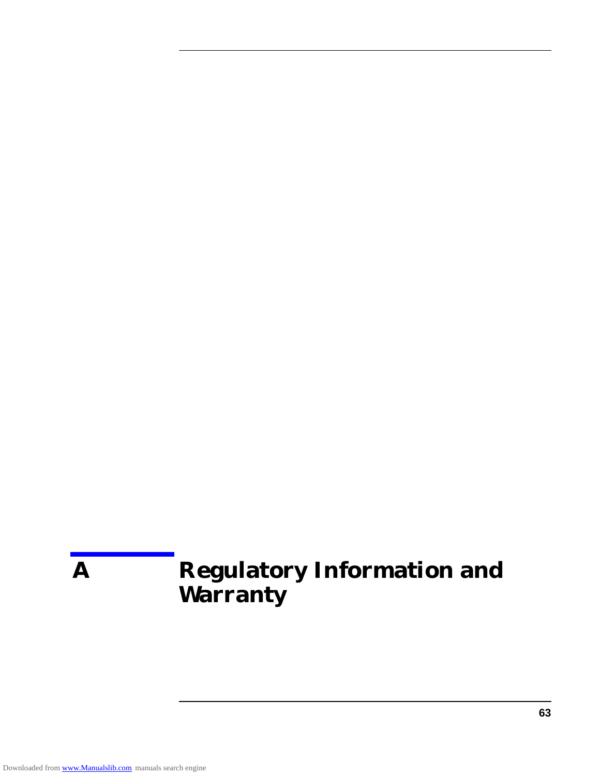# **A Regulatory Information and Warranty**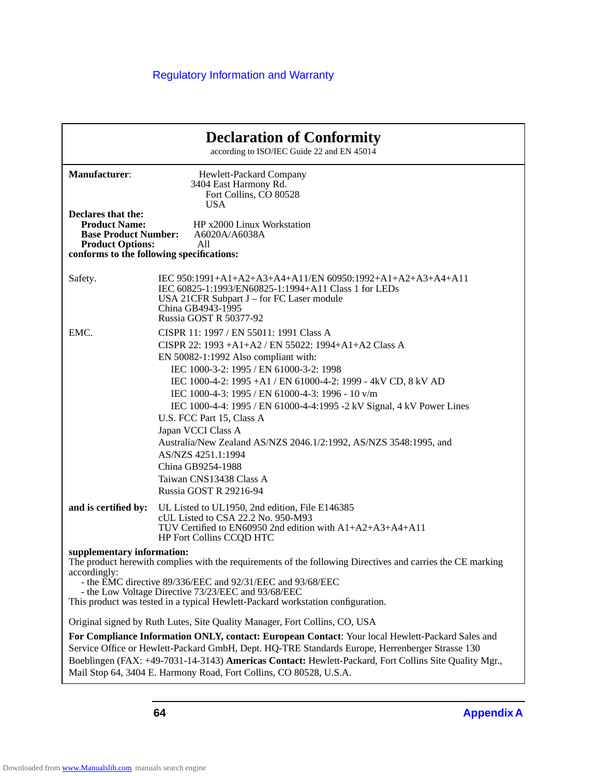### Regulatory Information and Warranty

|                                                                                                      | <b>Declaration of Conformity</b><br>according to ISO/IEC Guide 22 and EN 45014                                                                                                                                                                                                                                                                                                                                                                                                                                                                                                                                   |
|------------------------------------------------------------------------------------------------------|------------------------------------------------------------------------------------------------------------------------------------------------------------------------------------------------------------------------------------------------------------------------------------------------------------------------------------------------------------------------------------------------------------------------------------------------------------------------------------------------------------------------------------------------------------------------------------------------------------------|
| <b>Manufacturer:</b>                                                                                 | Hewlett-Packard Company<br>3404 East Harmony Rd.<br>Fort Collins, CO 80528<br><b>USA</b>                                                                                                                                                                                                                                                                                                                                                                                                                                                                                                                         |
| Declares that the:<br><b>Product Name:</b><br><b>Base Product Number:</b><br><b>Product Options:</b> | HP x2000 Linux Workstation<br>A6020A/A6038A<br>All<br>conforms to the following specifications:                                                                                                                                                                                                                                                                                                                                                                                                                                                                                                                  |
| Safety.                                                                                              | IEC 950:1991+A1+A2+A3+A4+A11/EN 60950:1992+A1+A2+A3+A4+A11<br>IEC 60825-1:1993/EN60825-1:1994+A11 Class 1 for LEDs<br>USA 21CFR Subpart J – for FC Laser module<br>China GB4943-1995<br>Russia GOST R 50377-92                                                                                                                                                                                                                                                                                                                                                                                                   |
| EMC.                                                                                                 | CISPR 11: 1997 / EN 55011: 1991 Class A<br>CISPR 22: 1993 + A1+A2 / EN 55022: 1994+A1+A2 Class A<br>EN 50082-1:1992 Also compliant with:<br>IEC 1000-3-2: 1995 / EN 61000-3-2: 1998<br>IEC 1000-4-2: 1995 +A1 / EN 61000-4-2: 1999 - 4kV CD, 8 kV AD<br>IEC 1000-4-3: 1995 / EN 61000-4-3: 1996 - 10 v/m<br>IEC 1000-4-4: 1995 / EN 61000-4-4:1995 -2 kV Signal, 4 kV Power Lines<br>U.S. FCC Part 15, Class A<br>Japan VCCI Class A<br>Australia/New Zealand AS/NZS 2046.1/2:1992, AS/NZS 3548:1995, and<br>AS/NZS 4251.1:1994<br>China GB9254-1988<br>Taiwan CNS13438 Class A<br><b>Russia GOST R 29216-94</b> |
| and is certified by:                                                                                 | UL Listed to UL1950, 2nd edition, File E146385<br>cUL Listed to CSA 22.2 No. 950-M93<br>TUV Certified to EN60950 2nd edition with A1+A2+A3+A4+A11<br>HP Fort Collins CCQD HTC                                                                                                                                                                                                                                                                                                                                                                                                                                    |
| supplementary information:<br>accordingly:                                                           | The product herewith complies with the requirements of the following Directives and carries the CE marking<br>- the EMC directive 89/336/EEC and 92/31/EEC and 93/68/EEC<br>- the Low Voltage Directive 73/23/EEC and 93/68/EEC<br>This product was tested in a typical Hewlett-Packard workstation configuration.                                                                                                                                                                                                                                                                                               |
|                                                                                                      | Original signed by Ruth Lutes, Site Quality Manager, Fort Collins, CO, USA<br>For Compliance Information ONLY, contact: European Contact: Your local Hewlett-Packard Sales and<br>Service Office or Hewlett-Packard GmbH, Dept. HQ-TRE Standards Europe, Herrenberger Strasse 130<br>Boeblingen (FAX: +49-7031-14-3143) Americas Contact: Hewlett-Packard, Fort Collins Site Quality Mgr.,<br>Mail Stop 64, 3404 E. Harmony Road, Fort Collins, CO 80528, U.S.A.                                                                                                                                                 |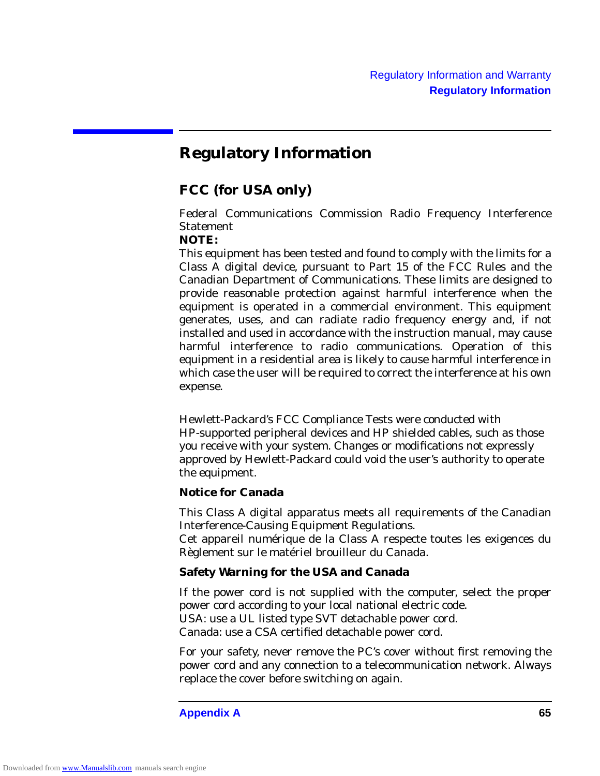# **Regulatory Information**

# **FCC (for USA only)**

Federal Communications Commission Radio Frequency Interference Statement

#### **NOTE:**

This equipment has been tested and found to comply with the limits for a Class A digital device, pursuant to Part 15 of the FCC Rules and the Canadian Department of Communications. These limits are designed to provide reasonable protection against harmful interference when the equipment is operated in a commercial environment. This equipment generates, uses, and can radiate radio frequency energy and, if not installed and used in accordance with the instruction manual, may cause harmful interference to radio communications. Operation of this equipment in a residential area is likely to cause harmful interference in which case the user will be required to correct the interference at his own expense.

Hewlett-Packard's FCC Compliance Tests were conducted with HP-supported peripheral devices and HP shielded cables, such as those you receive with your system. Changes or modifications not expressly approved by Hewlett-Packard could void the user's authority to operate the equipment.

#### **Notice for Canada**

This Class A digital apparatus meets all requirements of the Canadian Interference-Causing Equipment Regulations.

Cet appareil numérique de la Class A respecte toutes les exigences du Règlement sur le matériel brouilleur du Canada.

#### **Safety Warning for the USA and Canada**

If the power cord is not supplied with the computer, select the proper power cord according to your local national electric code. USA: use a UL listed type SVT detachable power cord. Canada: use a CSA certified detachable power cord.

For your safety, never remove the PC's cover without first removing the power cord and any connection to a telecommunication network. Always replace the cover before switching on again.

**Appendix A 65**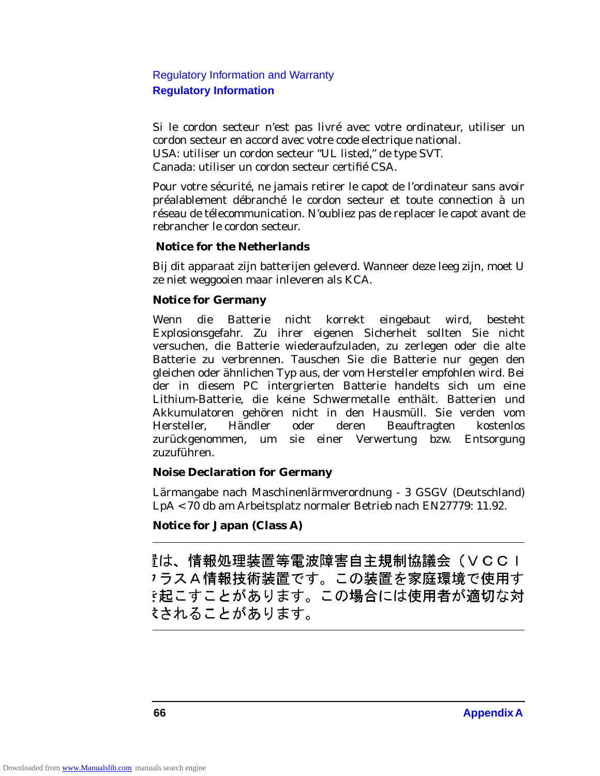#### Regulatory Information and Warranty **Regulatory Information**

Si le cordon secteur n'est pas livré avec votre ordinateur, utiliser un cordon secteur en accord avec votre code electrique national. USA: utiliser un cordon secteur "UL listed," de type SVT. Canada: utiliser un cordon secteur certifié CSA.

Pour votre sécurité, ne jamais retirer le capot de l'ordinateur sans avoir préalablement débranché le cordon secteur et toute connection à un réseau de télecommunication. N'oubliez pas de replacer le capot avant de rebrancher le cordon secteur.

#### **Notice for the Netherlands**

Bij dit apparaat zijn batterijen geleverd. Wanneer deze leeg zijn, moet U ze niet weggooien maar inleveren als KCA.

#### **Notice for Germany**

Wenn die Batterie nicht korrekt eingebaut wird, besteht Explosionsgefahr. Zu ihrer eigenen Sicherheit sollten Sie nicht versuchen, die Batterie wiederaufzuladen, zu zerlegen oder die alte Batterie zu verbrennen. Tauschen Sie die Batterie nur gegen den gleichen oder ähnlichen Typ aus, der vom Hersteller empfohlen wird. Bei der in diesem PC intergrierten Batterie handelts sich um eine Lithium-Batterie, die keine Schwermetalle enthält. Batterien und Akkumulatoren gehören nicht in den Hausmüll. Sie verden vom Hersteller, Händler oder deren Beauftragten kostenlos zurückgenommen, um sie einer Verwertung bzw. Entsorgung zuzuführen.

#### **Noise Declaration for Germany**

Lärmangabe nach Maschinenlärmverordnung - 3 GSGV (Deutschland) LpA < 70 db am Arbeitsplatz normaler Betrieb nach EN27779: 11.92.

#### **Notice for Japan (Class A)**

『は、情報処理装置等雷波障害自主規制協議会(ⅤCCⅠ , ラスA情報技術装置です。この装置を家庭環境で使用す **『起こすことがあります。この場合には使用者が適切な対** きされることがあります。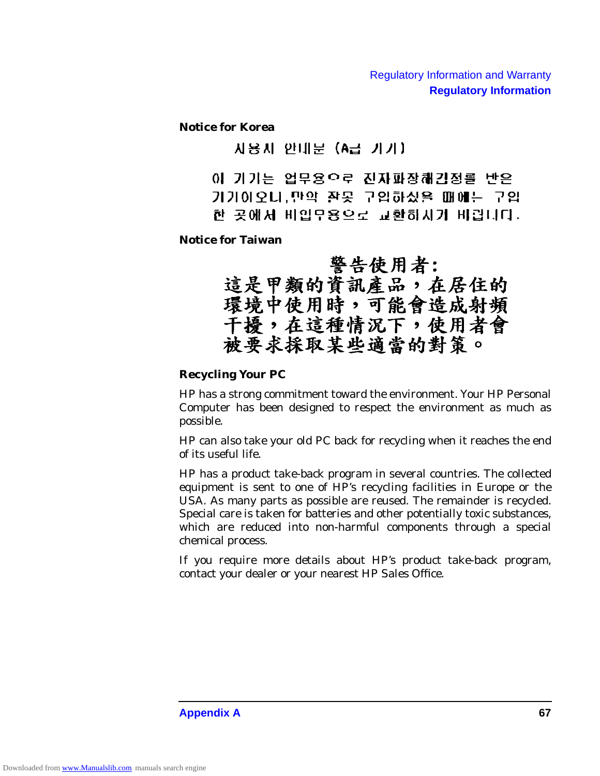**Notice for Korea**

# 지용자 안내문 (A급 기기)

이 기기는 업무용으로 진자파장해긴정를 반은 기기이오니,만약 잘못 구입하셨을 때에는 구입 한 곳에서 비입무용으로 교환하시기 비립니다.

**Notice for Taiwan**

|  |  |  |  | 警告使用者: |                |  |  |
|--|--|--|--|--------|----------------|--|--|
|  |  |  |  |        | 這是甲類的資訊產品,在居住的 |  |  |
|  |  |  |  |        | 環境中使用時,可能會造成射頻 |  |  |
|  |  |  |  |        | 干擾,在這種情況下,使用者會 |  |  |
|  |  |  |  |        | 被要求採取某些適當的對策。  |  |  |

#### **Recycling Your PC**

HP has a strong commitment toward the environment. Your HP Personal Computer has been designed to respect the environment as much as possible.

HP can also take your old PC back for recycling when it reaches the end of its useful life.

HP has a product take-back program in several countries. The collected equipment is sent to one of HP's recycling facilities in Europe or the USA. As many parts as possible are reused. The remainder is recycled. Special care is taken for batteries and other potentially toxic substances, which are reduced into non-harmful components through a special chemical process.

If you require more details about HP's product take-back program, contact your dealer or your nearest HP Sales Office.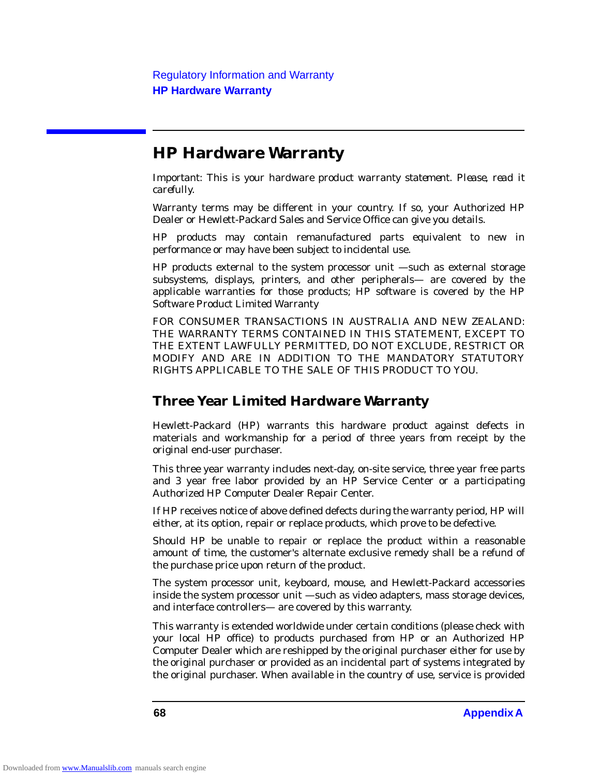# **HP Hardware Warranty**

*Important: This is your hardware product warranty statement. Please, read it carefully.*

Warranty terms may be different in your country. If so, your Authorized HP Dealer or Hewlett-Packard Sales and Service Office can give you details.

HP products may contain remanufactured parts equivalent to new in performance or may have been subject to incidental use.

HP products external to the system processor unit —such as external storage subsystems, displays, printers, and other peripherals— are covered by the applicable warranties for those products; HP software is covered by the HP Software Product Limited Warranty

FOR CONSUMER TRANSACTIONS IN AUSTRALIA AND NEW ZEALAND: THE WARRANTY TERMS CONTAINED IN THIS STATEMENT, EXCEPT TO THE EXTENT LAWFULLY PERMITTED, DO NOT EXCLUDE, RESTRICT OR MODIFY AND ARE IN ADDITION TO THE MANDATORY STATUTORY RIGHTS APPLICABLE TO THE SALE OF THIS PRODUCT TO YOU.

#### **Three Year Limited Hardware Warranty**

Hewlett-Packard (HP) warrants this hardware product against defects in materials and workmanship for a period of three years from receipt by the original end-user purchaser.

This three year warranty includes next-day, on-site service, three year free parts and 3 year free labor provided by an HP Service Center or a participating Authorized HP Computer Dealer Repair Center.

If HP receives notice of above defined defects during the warranty period, HP will either, at its option, repair or replace products, which prove to be defective.

Should HP be unable to repair or replace the product within a reasonable amount of time, the customer's alternate exclusive remedy shall be a refund of the purchase price upon return of the product.

The system processor unit, keyboard, mouse, and Hewlett-Packard accessories inside the system processor unit —such as video adapters, mass storage devices, and interface controllers— are covered by this warranty.

This warranty is extended worldwide under certain conditions (please check with your local HP office) to products purchased from HP or an Authorized HP Computer Dealer which are reshipped by the original purchaser either for use by the original purchaser or provided as an incidental part of systems integrated by the original purchaser. When available in the country of use, service is provided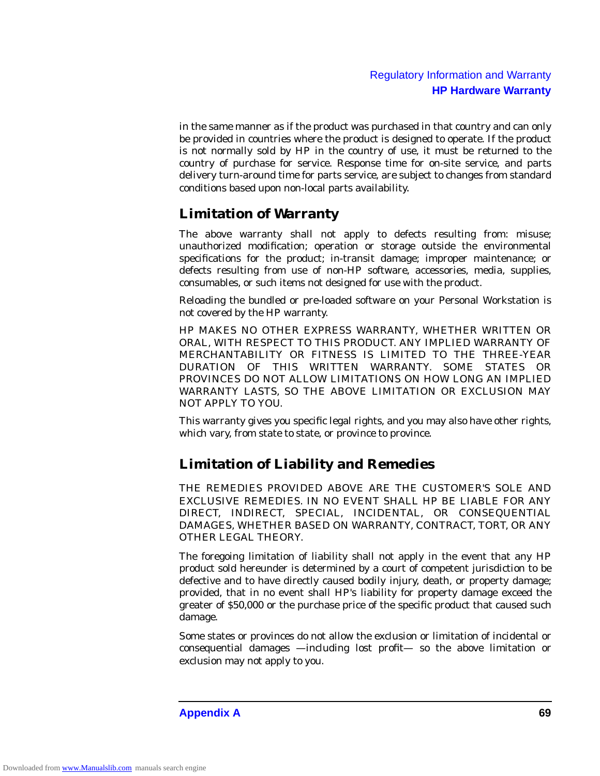in the same manner as if the product was purchased in that country and can only be provided in countries where the product is designed to operate. If the product is not normally sold by HP in the country of use, it must be returned to the country of purchase for service. Response time for on-site service, and parts delivery turn-around time for parts service, are subject to changes from standard conditions based upon non-local parts availability.

# **Limitation of Warranty**

The above warranty shall not apply to defects resulting from: misuse; unauthorized modification; operation or storage outside the environmental specifications for the product; in-transit damage; improper maintenance; or defects resulting from use of non-HP software, accessories, media, supplies, consumables, or such items not designed for use with the product.

Reloading the bundled or pre-loaded software on your Personal Workstation is not covered by the HP warranty.

HP MAKES NO OTHER EXPRESS WARRANTY, WHETHER WRITTEN OR ORAL, WITH RESPECT TO THIS PRODUCT. ANY IMPLIED WARRANTY OF MERCHANTABILITY OR FITNESS IS LIMITED TO THE THREE-YEAR DURATION OF THIS WRITTEN WARRANTY. SOME STATES OR PROVINCES DO NOT ALLOW LIMITATIONS ON HOW LONG AN IMPLIED WARRANTY LASTS, SO THE ABOVE LIMITATION OR EXCLUSION MAY NOT APPLY TO YOU.

This warranty gives you specific legal rights, and you may also have other rights, which vary, from state to state, or province to province.

# **Limitation of Liability and Remedies**

THE REMEDIES PROVIDED ABOVE ARE THE CUSTOMER'S SOLE AND EXCLUSIVE REMEDIES. IN NO EVENT SHALL HP BE LIABLE FOR ANY DIRECT, INDIRECT, SPECIAL, INCIDENTAL, OR CONSEQUENTIAL DAMAGES, WHETHER BASED ON WARRANTY, CONTRACT, TORT, OR ANY OTHER LEGAL THEORY.

The foregoing limitation of liability shall not apply in the event that any HP product sold hereunder is determined by a court of competent jurisdiction to be defective and to have directly caused bodily injury, death, or property damage; provided, that in no event shall HP's liability for property damage exceed the greater of \$50,000 or the purchase price of the specific product that caused such damage.

Some states or provinces do not allow the exclusion or limitation of incidental or consequential damages —including lost profit— so the above limitation or exclusion may not apply to you.

**Appendix A 69**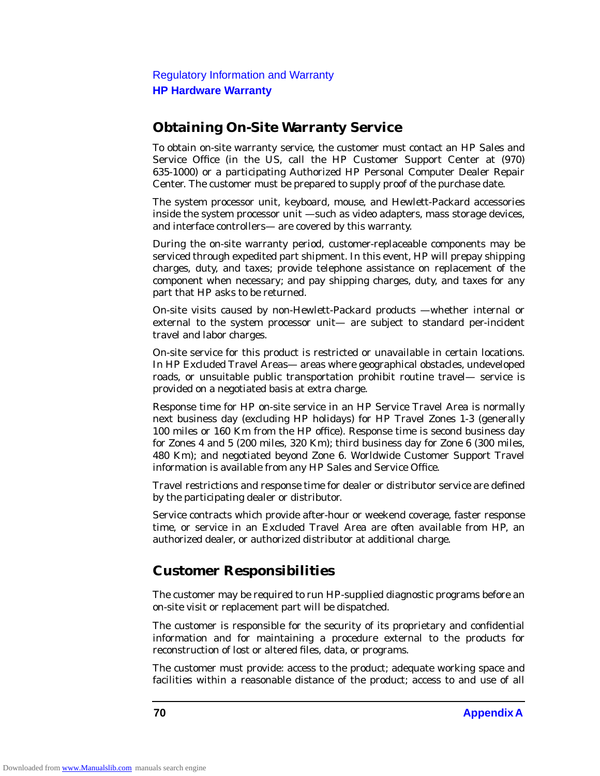# **Obtaining On-Site Warranty Service**

To obtain on-site warranty service, the customer must contact an HP Sales and Service Office (in the US, call the HP Customer Support Center at (970) 635-1000) or a participating Authorized HP Personal Computer Dealer Repair Center. The customer must be prepared to supply proof of the purchase date.

The system processor unit, keyboard, mouse, and Hewlett-Packard accessories inside the system processor unit —such as video adapters, mass storage devices, and interface controllers— are covered by this warranty.

During the on-site warranty period, customer-replaceable components may be serviced through expedited part shipment. In this event, HP will prepay shipping charges, duty, and taxes; provide telephone assistance on replacement of the component when necessary; and pay shipping charges, duty, and taxes for any part that HP asks to be returned.

On-site visits caused by non-Hewlett-Packard products —whether internal or external to the system processor unit— are subject to standard per-incident travel and labor charges.

On-site service for this product is restricted or unavailable in certain locations. In HP Excluded Travel Areas— areas where geographical obstacles, undeveloped roads, or unsuitable public transportation prohibit routine travel— service is provided on a negotiated basis at extra charge.

Response time for HP on-site service in an HP Service Travel Area is normally next business day (excluding HP holidays) for HP Travel Zones 1-3 (generally 100 miles or 160 Km from the HP office). Response time is second business day for Zones 4 and 5 (200 miles, 320 Km); third business day for Zone 6 (300 miles, 480 Km); and negotiated beyond Zone 6. Worldwide Customer Support Travel information is available from any HP Sales and Service Office.

Travel restrictions and response time for dealer or distributor service are defined by the participating dealer or distributor.

Service contracts which provide after-hour or weekend coverage, faster response time, or service in an Excluded Travel Area are often available from HP, an authorized dealer, or authorized distributor at additional charge.

# **Customer Responsibilities**

The customer may be required to run HP-supplied diagnostic programs before an on-site visit or replacement part will be dispatched.

The customer is responsible for the security of its proprietary and confidential information and for maintaining a procedure external to the products for reconstruction of lost or altered files, data, or programs.

The customer must provide: access to the product; adequate working space and facilities within a reasonable distance of the product; access to and use of all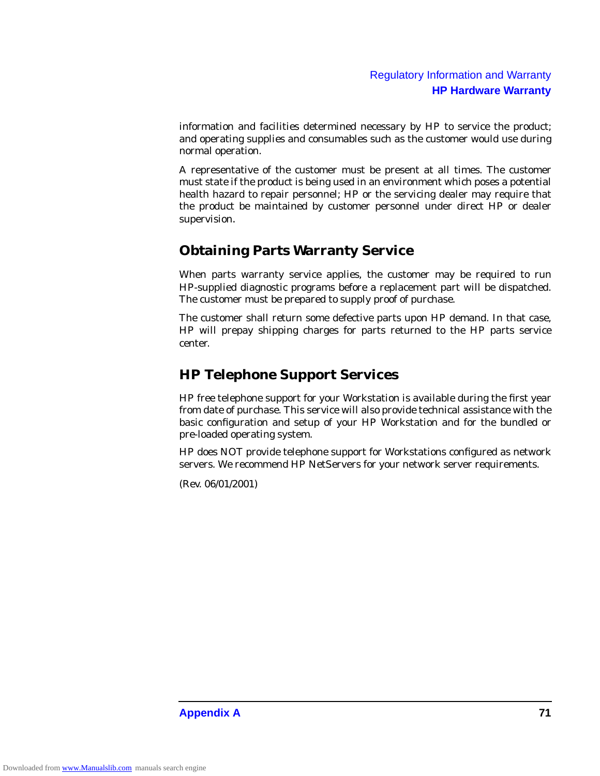information and facilities determined necessary by HP to service the product; and operating supplies and consumables such as the customer would use during normal operation.

A representative of the customer must be present at all times. The customer must state if the product is being used in an environment which poses a potential health hazard to repair personnel; HP or the servicing dealer may require that the product be maintained by customer personnel under direct HP or dealer supervision.

# **Obtaining Parts Warranty Service**

When parts warranty service applies, the customer may be required to run HP-supplied diagnostic programs before a replacement part will be dispatched. The customer must be prepared to supply proof of purchase.

The customer shall return some defective parts upon HP demand. In that case, HP will prepay shipping charges for parts returned to the HP parts service center.

# **HP Telephone Support Services**

HP free telephone support for your Workstation is available during the first year from date of purchase. This service will also provide technical assistance with the basic configuration and setup of your HP Workstation and for the bundled or pre-loaded operating system.

HP does NOT provide telephone support for Workstations configured as network servers. We recommend HP NetServers for your network server requirements.

(Rev. 06/01/2001)

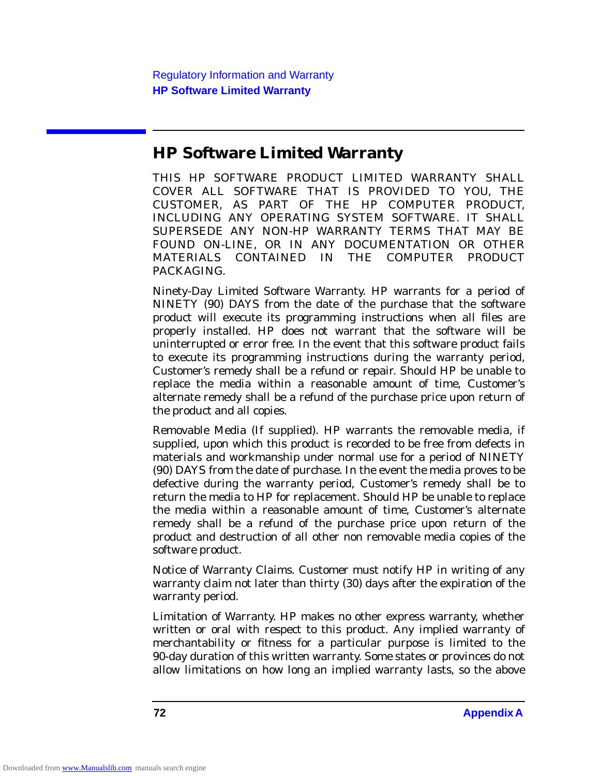# **HP Software Limited Warranty**

THIS HP SOFTWARE PRODUCT LIMITED WARRANTY SHALL COVER ALL SOFTWARE THAT IS PROVIDED TO YOU, THE CUSTOMER, AS PART OF THE HP COMPUTER PRODUCT, INCLUDING ANY OPERATING SYSTEM SOFTWARE. IT SHALL SUPERSEDE ANY NON-HP WARRANTY TERMS THAT MAY BE FOUND ON-LINE, OR IN ANY DOCUMENTATION OR OTHER MATERIALS CONTAINED IN THE COMPUTER PRODUCT PACKAGING.

Ninety-Day Limited Software Warranty. HP warrants for a period of NINETY (90) DAYS from the date of the purchase that the software product will execute its programming instructions when all files are properly installed. HP does not warrant that the software will be uninterrupted or error free. In the event that this software product fails to execute its programming instructions during the warranty period, Customer's remedy shall be a refund or repair. Should HP be unable to replace the media within a reasonable amount of time, Customer's alternate remedy shall be a refund of the purchase price upon return of the product and all copies.

Removable Media (If supplied). HP warrants the removable media, if supplied, upon which this product is recorded to be free from defects in materials and workmanship under normal use for a period of NINETY (90) DAYS from the date of purchase. In the event the media proves to be defective during the warranty period, Customer's remedy shall be to return the media to HP for replacement. Should HP be unable to replace the media within a reasonable amount of time, Customer's alternate remedy shall be a refund of the purchase price upon return of the product and destruction of all other non removable media copies of the software product.

Notice of Warranty Claims. Customer must notify HP in writing of any warranty claim not later than thirty (30) days after the expiration of the warranty period.

Limitation of Warranty. HP makes no other express warranty, whether written or oral with respect to this product. Any implied warranty of merchantability or fitness for a particular purpose is limited to the 90-day duration of this written warranty. Some states or provinces do not allow limitations on how long an implied warranty lasts, so the above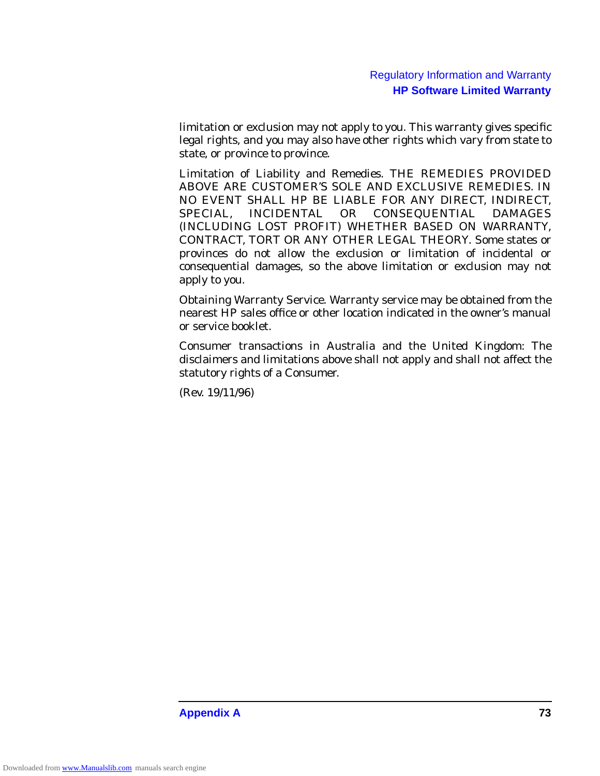limitation or exclusion may not apply to you. This warranty gives specific legal rights, and you may also have other rights which vary from state to state, or province to province.

Limitation of Liability and Remedies. THE REMEDIES PROVIDED ABOVE ARE CUSTOMER'S SOLE AND EXCLUSIVE REMEDIES. IN NO EVENT SHALL HP BE LIABLE FOR ANY DIRECT, INDIRECT, SPECIAL, INCIDENTAL OR CONSEQUENTIAL DAMAGES (INCLUDING LOST PROFIT) WHETHER BASED ON WARRANTY, CONTRACT, TORT OR ANY OTHER LEGAL THEORY. Some states or provinces do not allow the exclusion or limitation of incidental or consequential damages, so the above limitation or exclusion may not apply to you.

Obtaining Warranty Service. Warranty service may be obtained from the nearest HP sales office or other location indicated in the owner's manual or service booklet.

Consumer transactions in Australia and the United Kingdom: The disclaimers and limitations above shall not apply and shall not affect the statutory rights of a Consumer.

(Rev. 19/11/96)

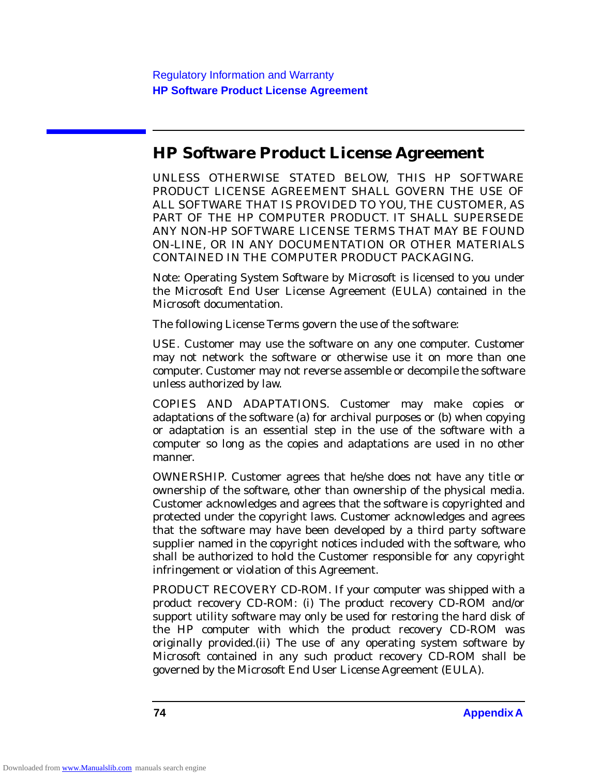## **HP Software Product License Agreement**

UNLESS OTHERWISE STATED BELOW, THIS HP SOFTWARE PRODUCT LICENSE AGREEMENT SHALL GOVERN THE USE OF ALL SOFTWARE THAT IS PROVIDED TO YOU, THE CUSTOMER, AS PART OF THE HP COMPUTER PRODUCT. IT SHALL SUPERSEDE ANY NON-HP SOFTWARE LICENSE TERMS THAT MAY BE FOUND ON-LINE, OR IN ANY DOCUMENTATION OR OTHER MATERIALS CONTAINED IN THE COMPUTER PRODUCT PACKAGING.

Note: Operating System Software by Microsoft is licensed to you under the Microsoft End User License Agreement (EULA) contained in the Microsoft documentation.

The following License Terms govern the use of the software:

USE. Customer may use the software on any one computer. Customer may not network the software or otherwise use it on more than one computer. Customer may not reverse assemble or decompile the software unless authorized by law.

COPIES AND ADAPTATIONS. Customer may make copies or adaptations of the software (a) for archival purposes or (b) when copying or adaptation is an essential step in the use of the software with a computer so long as the copies and adaptations are used in no other manner.

OWNERSHIP. Customer agrees that he/she does not have any title or ownership of the software, other than ownership of the physical media. Customer acknowledges and agrees that the software is copyrighted and protected under the copyright laws. Customer acknowledges and agrees that the software may have been developed by a third party software supplier named in the copyright notices included with the software, who shall be authorized to hold the Customer responsible for any copyright infringement or violation of this Agreement.

PRODUCT RECOVERY CD-ROM. If your computer was shipped with a product recovery CD-ROM: (i) The product recovery CD-ROM and/or support utility software may only be used for restoring the hard disk of the HP computer with which the product recovery CD-ROM was originally provided.(ii) The use of any operating system software by Microsoft contained in any such product recovery CD-ROM shall be governed by the Microsoft End User License Agreement (EULA).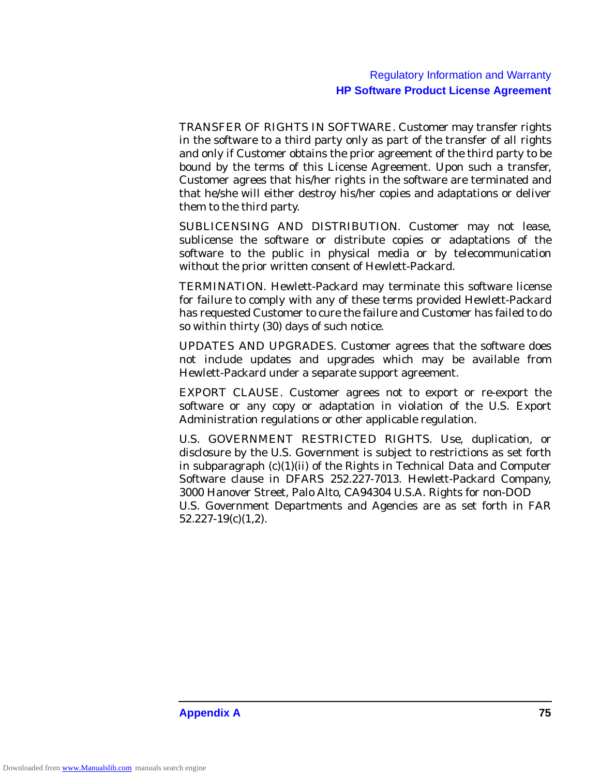## Regulatory Information and Warranty **HP Software Product License Agreement**

TRANSFER OF RIGHTS IN SOFTWARE. Customer may transfer rights in the software to a third party only as part of the transfer of all rights and only if Customer obtains the prior agreement of the third party to be bound by the terms of this License Agreement. Upon such a transfer, Customer agrees that his/her rights in the software are terminated and that he/she will either destroy his/her copies and adaptations or deliver them to the third party.

SUBLICENSING AND DISTRIBUTION. Customer may not lease, sublicense the software or distribute copies or adaptations of the software to the public in physical media or by telecommunication without the prior written consent of Hewlett-Packard.

TERMINATION. Hewlett-Packard may terminate this software license for failure to comply with any of these terms provided Hewlett-Packard has requested Customer to cure the failure and Customer has failed to do so within thirty (30) days of such notice.

UPDATES AND UPGRADES. Customer agrees that the software does not include updates and upgrades which may be available from Hewlett-Packard under a separate support agreement.

EXPORT CLAUSE. Customer agrees not to export or re-export the software or any copy or adaptation in violation of the U.S. Export Administration regulations or other applicable regulation.

U.S. GOVERNMENT RESTRICTED RIGHTS. Use, duplication, or disclosure by the U.S. Government is subject to restrictions as set forth in subparagraph (c)(1)(ii) of the Rights in Technical Data and Computer Software clause in DFARS 252.227-7013. Hewlett-Packard Company, 3000 Hanover Street, Palo Alto, CA94304 U.S.A. Rights for non-DOD U.S. Government Departments and Agencies are as set forth in FAR  $52.227 - 19(c)(1,2)$ .